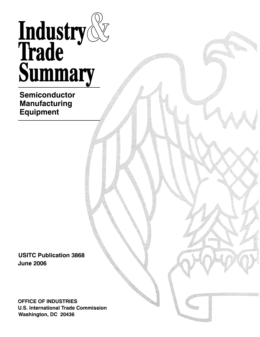# Industry<br>Trade<br>Summary

## **Semiconductor Manufacturing Equipment**

**USITC Publication 3868 June 2006**

**OFFICE OF INDUSTRIES U.S. International Trade Commission Washington, DC 20436**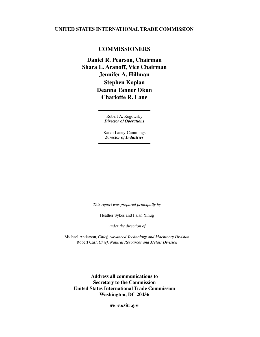#### **UNITED STATES INTERNATIONAL TRADE COMMISSION**

#### **COMMISSIONERS**

**Shara L. Aranoff, Vice Chairman Daniel R. Pearson, Chairman Jennifer A. Hillman Stephen Koplan Deanna Tanner Okun Charlotte R. Lane**

> Robert A. Rogowsky *Director of Operations*

Karen Laney-Cummings *Director of Industries*

*This report was prepared principally by*

Heather Sykes and Falan Yinug

*under the direction of*

Michael Anderson, *Chief, Advanced Technology and Machinery Division* Robert Carr, *Chief, Natural Resources and Metals Division*

**Address all communications to Secretary to the Commission United States International Trade Commission Washington, DC 20436**

*www.usitc.gov*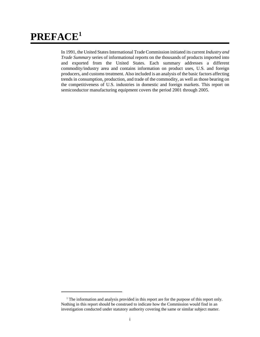# **PREFACE1**

In 1991, the United States International Trade Commission initiated its current *Industry and Trade Summary* series of informational reports on the thousands of products imported into and exported from the United States. Each summary addresses a different commodity/industry area and contains information on product uses, U.S. and foreign producers, and customs treatment. Also included is an analysis of the basic factors affecting trends in consumption, production, and trade of the commodity, as well as those bearing on the competitiveness of U.S. industries in domestic and foreign markets. This report on semiconductor manufacturing equipment covers the period 2001 through 2005.

<sup>&</sup>lt;sup>1</sup> The information and analysis provided in this report are for the purpose of this report only. Nothing in this report should be construed to indicate how the Commission would find in an investigation conducted under statutory authority covering the same or similar subject matter.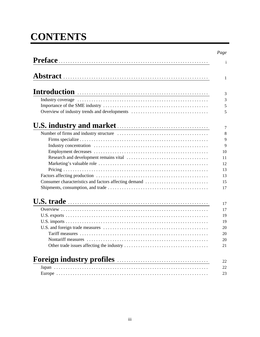# **CONTENTS**

| Introduction <b>contracts</b>                         |  |
|-------------------------------------------------------|--|
|                                                       |  |
|                                                       |  |
| Overview of industry trends and developments          |  |
|                                                       |  |
|                                                       |  |
|                                                       |  |
|                                                       |  |
|                                                       |  |
|                                                       |  |
|                                                       |  |
|                                                       |  |
|                                                       |  |
| Consumer characteristics and factors affecting demand |  |
|                                                       |  |
| U.S. trade                                            |  |
|                                                       |  |
|                                                       |  |
|                                                       |  |
|                                                       |  |
|                                                       |  |
| Nontariff measures                                    |  |
|                                                       |  |
| Foreign industry profiles                             |  |
|                                                       |  |
|                                                       |  |
|                                                       |  |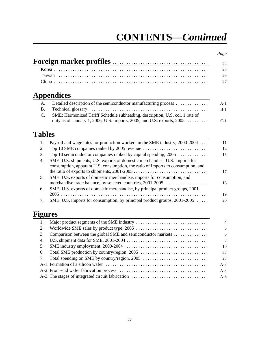# **CONTENTS—***Continued*

#### *Page*

|                  | <b>Appendices</b>                                                                                                                                               |
|------------------|-----------------------------------------------------------------------------------------------------------------------------------------------------------------|
| A.               | Detailed description of the semiconductor manufacturing process                                                                                                 |
| <b>B.</b>        |                                                                                                                                                                 |
| C.               | SME: Harmonized Tariff Schedule subheading, description, U.S. col. 1 rate of                                                                                    |
|                  | duty as of January 1, 2006, U.S. imports, 2005, and U.S. exports, 2005 $\ldots$                                                                                 |
| <b>Tables</b>    |                                                                                                                                                                 |
| 1.               | Payroll and wage rates for production workers in the SME industry, 2000-2004                                                                                    |
| 2.               |                                                                                                                                                                 |
| 3.               | Top 10 semiconductor companies ranked by capital spending, 2005                                                                                                 |
| $\overline{4}$ . | SME: U.S. shipments, U.S. exports of domestic merchandise, U.S. imports for<br>consumption, apparent U.S. consumption, the ratio of imports to consumption, and |
|                  |                                                                                                                                                                 |
| 5.               |                                                                                                                                                                 |
|                  | SME: U.S. exports of domestic merchandise, imports for consumption, and<br>merchandise trade balance, by selected countries, 2001-2005                          |
| 6.               | SME: U.S. exports of domestic merchandise, by principal product groups, 2001-                                                                                   |

## **Figures**

| 1. |                                                  | $\overline{4}$ |
|----|--------------------------------------------------|----------------|
| 2. |                                                  | 5              |
| 3. |                                                  | 6              |
|    |                                                  | 8              |
| 5. |                                                  | 10             |
| 6. |                                                  | 22             |
|    | 7. Total spending on SME by country/region, 2005 | 25             |
|    |                                                  | $A-3$          |
|    |                                                  | $A-3$          |
|    |                                                  | $A-6$          |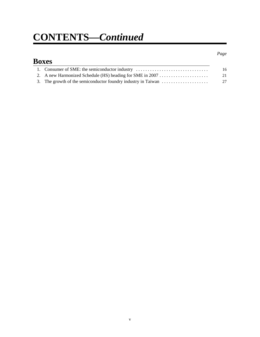# **CONTENTS—***Continued*

## **Boxes** 1. Consumer of SME: the semiconductor industry ............................... 16 2. A new Harmonized Schedule (HS) heading for SME in 2007 ..................... 21

*Page*

3. The growth of the semiconductor foundry industry in Taiwan .................... 27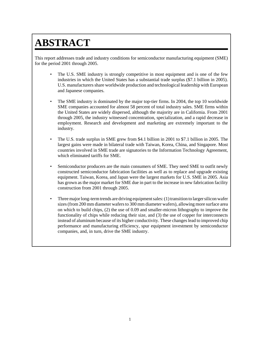# **ABSTRACT**

This report addresses trade and industry conditions for semiconductor manufacturing equipment (SME) for the period 2001 through 2005.

- The U.S. SME industry is strongly competitive in most equipment and is one of the few industries in which the United States has a substantial trade surplus (\$7.1 billion in 2005). U.S. manufacturers share worldwide production and technological leadership with European and Japanese companies.
- The SME industry is dominated by the major top-tier firms. In 2004, the top 10 worldwide SME companies accounted for almost 58 percent of total industry sales. SME firms within the United States are widely dispersed, although the majority are in California. From 2001 through 2005, the industry witnessed concentration, specialization, and a rapid decrease in employment. Research and development and marketing are extremely important to the industry.
- The U.S. trade surplus in SME grew from \$4.1 billion in 2001 to \$7.1 billion in 2005. The largest gains were made in bilateral trade with Taiwan, Korea, China, and Singapore. Most countries involved in SME trade are signatories to the Information Technology Agreement, which eliminated tariffs for SME.
- Semiconductor producers are the main consumers of SME. They need SME to outfit newly constructed semiconductor fabrication facilities as well as to replace and upgrade existing equipment. Taiwan, Korea, and Japan were the largest markets for U.S. SME in 2005. Asia has grown as the major market for SME due in part to the increase in new fabrication facility construction from 2001 through 2005.
- Three major long-term trends are driving equipment sales: (1) transition to larger silicon wafer sizes (from 200 mm diameter wafers to 300 mm diameter wafers), allowing more surface area on which to build chips, (2) the use of 0.09 and smaller-micron lithography to improve the functionality of chips while reducing their size, and (3) the use of copper for interconnects instead of aluminum because of its higher conductivity. These changes lead to improved chip performance and manufacturing efficiency, spur equipment investment by semiconductor companies, and, in turn, drive the SME industry.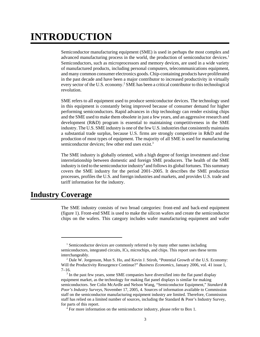# **INTRODUCTION**

Semiconductor manufacturing equipment (SME) is used in perhaps the most complex and advanced manufacturing process in the world, the production of semiconductor devices.<sup>1</sup> Semiconductors, such as microprocessors and memory devices, are used in a wide variety of manufactured products, including personal computers, telecommunications equipment, and many common consumer electronics goods. Chip-containing products have proliferated in the past decade and have been a major contributor to increased productivity in virtually every sector of the U.S. economy.<sup>2</sup> SME has been a critical contributor to this technological revolution.

SME refers to all equipment used to produce semiconductor devices. The technology used in this equipment is constantly being improved because of consumer demand for higher performing semiconductors. Rapid advances in chip technology can render existing chips and the SME used to make them obsolete in just a few years, and an aggressive research and development (R&D) program is essential to maintaining competitiveness in the SME industry. The U.S. SME industry is one of the few U.S. industries that consistently maintains a substantial trade surplus, because U.S. firms are strongly competitive in R&D and the production of most types of equipment. The majority of all SME is used for manufacturing semiconductor devices; few other end uses exist.<sup>3</sup>

The SME industry is globally oriented, with a high degree of foreign investment and close interrelationship between domestic and foreign SME producers. The health of the SME industry is tied to the semiconductor industry<sup>4</sup> and follows its global fortunes. This summary covers the SME industry for the period 2001–2005. It describes the SME production processes, profiles the U.S. and foreign industries and markets, and provides U.S. trade and tariff information for the industry.

## **Industry Coverage**

The SME industry consists of two broad categories: front-end and back-end equipment (figure 1). Front-end SME is used to make the silicon wafers and create the semiconductor chips on the wafers. This category includes wafer manufacturing equipment and wafer

<sup>&</sup>lt;sup>1</sup> Semiconductor devices are commonly referred to by many other names including semiconductors, integrated circuits, ICs, microchips, and chips. This report uses these terms interchangeably.

<sup>&</sup>lt;sup>2</sup> Dale W. Jorgenson, Mun S. Ho, and Kevin J. Stiroh, "Potential Growth of the U.S. Economy: Will the Productivity Resurgence Continue?" *Business Economics*, January 2006, vol. 41 issue 1,  $7-16.$ 

<sup>&</sup>lt;sup>3</sup> In the past few years, some SME companies have diversified into the flat panel display equipment market, as the technology for making flat panel displays is similar for making semiconductors. See Colin McArdle and Nelson Wang, "Semiconductor Equipment," *Standard & Poor's Industry Surveys*, November 17, 2005, 4. Sources of information available to Commission staff on the semiconductor manufacturing equipment industry are limited. Therefore, Commission staff has relied on a limited number of sources, including the Standard & Poor's Industry Survey, for parts of this report.

 <sup>4</sup> For more information on the semiconductor industry, please refer to Box 1.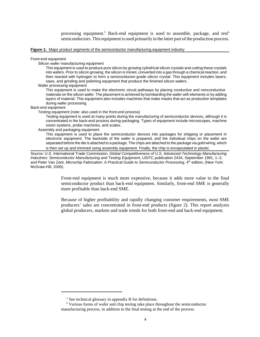processing equipment.<sup>5</sup> Back-end equipment is used to assemble, package, and test<sup>6</sup> semiconductors. This equipment is used primarily in the latter part of the production process.

#### **Figure 1:** Major product segments of the semiconductor manufacturing equipment industry

Front-end equipment

Silicon wafer manufacturing equipment

This equipment is used to produce pure silicon by growing cylindrical silicon crystals and cutting these crystals into wafers. Prior to silicon growing, the silicon is mined, converted into a gas through a chemical reaction, and then reacted with hydrogen to form a semiconductor-grade silicon crystal. This equipment includes lasers, saws, and grinding and polishing equipment that produce the finished silicon wafers.

Wafer processing equipment

This equipment is used to make the electronic circuit pathways by placing conductive and nonconductive materials on the silicon wafer. The placement is achieved by bombarding the wafer with elements or by adding layers of material. This equipment also includes machines that make masks that act as production templates during wafer processing.

Back-end equipment

Testing equipment (note: also used in the front-end process)

Testing equipment is used at many points during the manufacturing of semiconductor devices, although it is concentrated in the back-end process during packaging. Types of equipment include microscopes, machine vision systems, probe machines, and scales.

#### Assembly and packaging equipment

This equipment is used to place the semiconductor devices into packages for shipping or placement in electronic equipment. The backside of the wafer is prepared, and the individual chips on the wafer are separated before the die is attached to a package. The chips are attached to the package via gold wiring, which is then set up and trimmed using assembly equipment. Finally, the chip is encapsulated in plastic.

Source: U.S. International Trade Commission, *Global Competitiveness of U.S. Advanced-Technology Manufacturing Industries: Semiconductor Manufacturing and Testing Equipment*, USITC publication 2434, September 1991, 1–2; and Peter Van Zant, *Microchip Fabrication: A Practical Guide to Semiconductor Processing*, 4<sup>th</sup> edition, (New York: McGraw-Hill, 2000).

> Front-end equipment is much more expensive, because it adds more value to the final semiconductor product than back-end equipment. Similarly, front-end SME is generally more profitable than back-end SME.

> Because of higher profitability and rapidly changing customer requirements, most SME producers' sales are concentrated in front-end products (figure 2). This report analyzes global producers, markets and trade trends for both front-end and back-end equipment.

<sup>&</sup>lt;sup>5</sup> See technical glossary in appendix B for definitions.

 <sup>6</sup> Various forms of wafer and chip testing take place throughout the semiconductor manufacturing process, in addition to the final testing at the end of the process.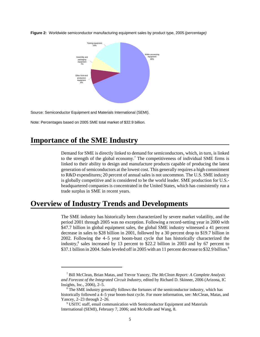

**Figure 2:** Worldwide semiconductor manufacturing equipment sales by product type, 2005 *(percentage)*

Source: Semiconductor Equipment and Materials International (SEMI).

Note: Percentages based on 2005 SME total market of \$32.9 billion.

## **Importance of the SME Industry**

Demand for SME is directly linked to demand for semiconductors, which, in turn, is linked to the strength of the global economy.<sup>7</sup> The competitiveness of individual SME firms is linked to their ability to design and manufacture products capable of producing the latest generation of semiconductors at the lowest cost. This generally requires a high commitment to R&D expenditures; 20 percent of annual sales is not uncommon. The U.S. SME industry is globally competitive and is considered to be the world leader. SME production for U.S. headquartered companies is concentrated in the United States, which has consistently run a trade surplus in SME in recent years.

## **Overview of Industry Trends and Developments**

The SME industry has historically been characterized by severe market volatility, and the period 2001 through 2005 was no exception. Following a record-setting year in 2000 with \$47.7 billion in global equipment sales, the global SME industry witnessed a 41 percent decrease in sales to \$28 billion in 2001, followed by a 30 percent drop to \$19.7 billion in 2002. Following the 4–5 year boom-bust cycle that has historically characterized the industry,8 sales increased by 13 percent to \$22.2 billion in 2003 and by 67 percent to \$37.1 billion in 2004. Sales leveled off in 2005 with an 11 percent decrease to \$32.9 billion.<sup>9</sup>

 <sup>7</sup> Bill McClean, Brian Matas, and Trevor Yancey, *The McClean Report: A Complete Analysis and Forecast of the Integrated Circuit Industry,* edited by Richard D. Skinner, 2006 (Arizona, IC Insights, Inc., 2006), 2–5.

<sup>&</sup>lt;sup>8</sup> The SME industry generally follows the fortunes of the semiconductor industry, which has historically followed a 4–5 year boom-bust cycle. For more information, see: McClean, Matas, and Yancey, 2–23 through 2–26.

<sup>&</sup>lt;sup>9</sup> USITC staff, email communication with Semiconductor Equipment and Materials International (SEMI), February 7, 2006; and McArdle and Wang, 8.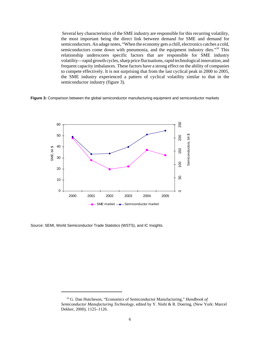Several key characteristics of the SME industry are responsible for this recurring volatility, the most important being the direct link between demand for SME and demand for semiconductors. An adage notes, "When the economy gets a chill, electronics catches a cold, semiconductors come down with pneumonia, and the equipment industry dies."<sup>10</sup> This relationship underscores specific factors that are responsible for SME industry volatility—rapid growth cycles, sharp price fluctuations, rapid technological innovation, and frequent capacity imbalances. These factors have a strong effect on the ability of companies to compete effectively. It is not surprising that from the last cyclical peak in 2000 to 2005, the SME industry experienced a pattern of cyclical volatility similar to that in the semiconductor industry (figure 3).

**Figure 3:** Comparison between the global semiconductor manufacturing equipment and semiconductor markets



Source: SEMI, World Semiconductor Trade Statistics (WSTS), and IC Insights.

 <sup>10</sup> G. Dan Hutcheson, "Economics of Semiconductor Manufacturing," *Handbook of Semiconductor Manufacturing Technology*, edited by Y. Nishi & R. Doering, (New York: Marcel Dekker, 2000), 1125–1126.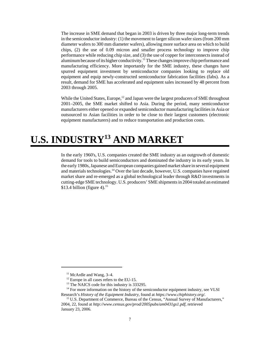The increase in SME demand that began in 2003 is driven by three major long-term trends in the semiconductor industry: (1) the movement to larger silicon wafer sizes (from 200 mm diameter wafers to 300 mm diameter wafers), allowing more surface area on which to build chips, (2) the use of 0.09 micron and smaller process technology to improve chip performance while reducing chip size, and (3) the use of copper for interconnects instead of aluminum because of its higher conductivity.<sup>11</sup> These changes improve chip performance and manufacturing efficiency. More importantly for the SME industry, these changes have spurred equipment investment by semiconductor companies looking to replace old equipment and equip newly-constructed semiconductor fabrication facilities (fabs). As a result, demand for SME has accelerated and equipment sales increased by 48 percent from 2003 through 2005.

While the United States, Europe, $12$  and Japan were the largest producers of SME throughout 2001–2005, the SME market shifted to Asia. During the period, many semiconductor manufacturers either opened or expanded semiconductor manufacturing facilities in Asia or outsourced to Asian facilities in order to be close to their largest customers (electronic equipment manufacturers) and to reduce transportation and production costs.

# **U.S. INDUSTRY13 AND MARKET**

In the early 1960's, U.S. companies created the SME industry as an outgrowth of domestic demand for tools to build semiconductors and dominated the industry in its early years. In the early 1980s, Japanese and European companies gained market share in several equipment and materials technologies.14 Over the last decade, however, U.S. companies have regained market share and re-emerged as a global technological leader through R&D investments in cutting-edge SME technology. U.S. producers' SME shipments in 2004 totaled an estimated \$13.4 billion (figure 4).<sup>15</sup>

 $11$  McArdle and Wang, 3–4.

 $12$  Europe in all cases refers to the EU-15.

<sup>&</sup>lt;sup>13</sup> The NAICS code for this industry is 333295.

 $14$  For more information on the history of the semiconductor equipment industry, see VLSI Research's *History of the Equipment Industry*, found at *https://www.chiphistory.org/.* 

<sup>&</sup>lt;sup>15</sup> U.S. Department of Commerce, Bureau of the Census, "Annual Survey of Manufacturers," 2004, 22, found at *http://www.census.gov/prod/2005pubs/am0431gs1.pdf*, retrieved January 23, 2006.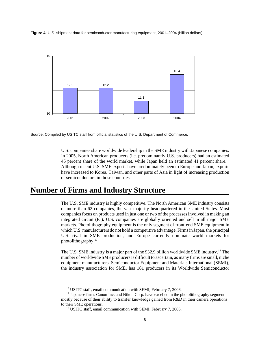**Figure 4:** U.S. shipment data for semiconductor manufacturing equipment, 2001–2004 (billion dollars)



Source: Compiled by USITC staff from official statistics of the U.S. Department of Commerce.

U.S. companies share worldwide leadership in the SME industry with Japanese companies. In 2005, North American producers (i.e. predominantly U.S. producers) had an estimated 45 percent share of the world market, while Japan held an estimated 41 percent share.<sup>16</sup> Although recent U.S. SME exports have predominately been to Europe and Japan, exports have increased to Korea, Taiwan, and other parts of Asia in light of increasing production of semiconductors in those countries.

## **Number of Firms and Industry Structure**

The U.S. SME industry is highly competitive. The North American SME industry consists of more than 62 companies, the vast majority headquartered in the United States. Most companies focus on products used in just one or two of the processes involved in making an integrated circuit (IC). U.S. companies are globally oriented and sell in all major SME markets. Photolithography equipment is the only segment of front-end SME equipment in which U.S. manufacturers do not hold a competitive advantage. Firms in Japan, the principal U.S. rival in SME production, and Europe currently dominate world markets for photolithography.17

The U.S. SME industry is a major part of the \$32.9 billion worldwide SME industry.18 The number of worldwide SME producers is difficult to ascertain, as many firms are small, niche equipment manufacturers. Semiconductor Equipment and Materials International (SEMI), the industry association for SME, has 161 producers in its Worldwide Semiconductor

<sup>&</sup>lt;sup>16</sup> USITC staff, email communication with SEMI, February 7, 2006.

<sup>&</sup>lt;sup>17</sup> Japanese firms Canon Inc. and Nikon Corp. have excelled in the photolithography segment mostly because of their ability to transfer knowledge gained from R&D in their camera operations to their SME operations.

<sup>&</sup>lt;sup>18</sup> USITC staff, email communication with SEMI, February 7, 2006.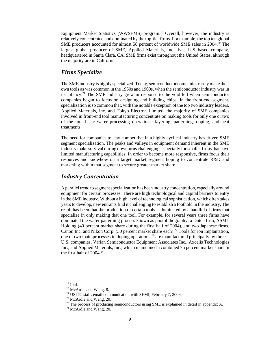Equipment Market Statistics (WWSEMS) program.19 Overall, however, the industry is relatively concentrated and dominated by the top-tier firms. For example, the top ten global SME producers accounted for almost 58 percent of worldwide SME sales in 2004.<sup>20</sup> The largest global producer of SME, Applied Materials, Inc., is a U.S.-based company, headquartered in Santa Clara, CA. SME firms exist throughout the United States, although the majority are in California.

#### *Firms Specialize*

The SME industry is highly specialized. Today, semiconductor companies rarely make their own tools as was common in the 1950s and 1960s, when the semiconductor industry was in its infancy.21 The SME industry grew in response to the void left when semiconductor companies began to focus on designing and building chips. In the front-end segment, specialization is so common that, with the notable exception of the top two industry leaders, Applied Materials, Inc. and Tokyo Electron Limited, the majority of SME companies involved in front-end tool manufacturing concentrate on making tools for only one or two of the four basic wafer processing operations: layering, patterning, doping, and heat treatments.

The need for companies to stay competitive in a highly cyclical industry has driven SME segment specialization. The peaks and valleys in equipment demand inherent in the SME industry make survival during downturns challenging, especially for smaller firms that have limited manufacturing capabilities. In order to become more responsive, firms focus their resources and knowhow on a target market segment hoping to concentrate R&D and marketing within that segment to secure greater market share.

#### *Industry Concentration*

A parallel trend to segment specialization has been industry concentration, especially around equipment for certain processes. There are high technological and capital barriers to entry in the SME industry. Without a high level of technological sophistication, which often takes years to develop, new entrants find it challenging to establish a foothold in the industry. The result has been that the production of certain tools is dominated by a handful of firms that specialize in only making that one tool. For example, for several years three firms have dominated the wafer patterning process known as photolithography: a Dutch firm, ASML Holding (40 percent market share during the first half of 2004), and two Japanese firms, Canon Inc. and Nikon Corp. (30 percent market share each).<sup>22</sup> Tools for ion implantation, one of two main processes in doping operations,<sup>23</sup> are manufactured principally by three U.S. companies, Varian Semiconductor Equipment Associates Inc., Axcelis Technologies Inc., and Applied Materials, Inc., which maintained a combined 75 percent market share in the first half of  $2004.<sup>24</sup>$ 

 $19$  Ibid.

 $20$  McArdle and Wang, 8.

<sup>&</sup>lt;sup>21</sup> USITC staff, email communication with SEMI, February 7, 2006.

 <sup>22</sup> McArdle and Wang, 20.

<sup>&</sup>lt;sup>23</sup> The process of producing semiconductors using SME is explained in detail in appendix A.

 $24$  McArdle and Wang, 20.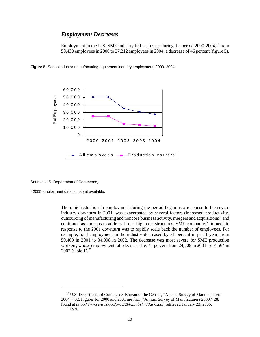#### *Employment Decreases*

Employment in the U.S. SME industry fell each year during the period  $2000-2004$ ,<sup>25</sup> from 50,430 employees in 2000 to 27,212 employees in 2004, a decrease of 46 percent (figure 5).

6 0 ,0 0 0 5 0 ,0 0 0 of Employees # of Employees 4 0 ,0 0 0 3 0 ,0 0 0 2 0 ,0 0 0 1 0 ,0 0 0 0

2000 2001 2002 2003 2004

All employees  $-\blacksquare$  P roduction workers

Figure 5: Semiconductor manufacturing equipment industry employment, 2000–2004<sup>1</sup>

Source: U.S. Department of Commerce,

<sup>1</sup> 2005 employment data is not yet available.

The rapid reduction in employment during the period began as a response to the severe industry downturn in 2001, was exacerbated by several factors (increased productivity, outsourcing of manufacturing and noncore business activity, mergers and acquisitions), and continued as a means to address firms' high cost structures. SME companies' immediate response to the 2001 downturn was to rapidly scale back the number of employees. For example, total employment in the industry decreased by 31 percent in just 1 year, from 50,469 in 2001 to 34,998 in 2002. The decrease was most severe for SME production workers, whose employment rate decreased by 41 percent from 24,709 in 2001 to 14,564 in 2002 (table 1). $^{26}$ 

<sup>&</sup>lt;sup>25</sup> U.S. Department of Commerce, Bureau of the Census, "Annual Survey of Manufacturers 2004," 32. Figures for 2000 and 2001 are from "Annual Survey of Manufacturers 2000," 28, found at *http://www.census.gov/prod/2002pubs/m00as-1.pdf*, retrieved January 23, 2006.  $^{26}$  Ibid.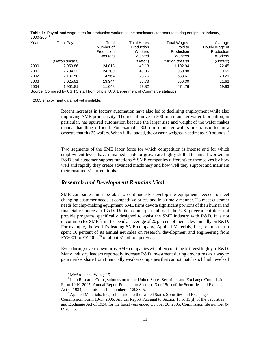| 2000, 2007 |                      |                                             |                                                       |                                                        |                                                    |
|------------|----------------------|---------------------------------------------|-------------------------------------------------------|--------------------------------------------------------|----------------------------------------------------|
| Year       | <b>Total Payroll</b> | Total<br>Number of<br>Production<br>Workers | Total Hours<br>Production<br><b>Workers</b><br>Worked | <b>Total Wages</b><br>Paid to<br>Production<br>Workers | Average<br>Hourly Wage of<br>Production<br>Workers |
|            | (Million dollars)    |                                             | (Million)                                             | (Million dollars)                                      | (Dollars)                                          |
| 2000       | 2,959.86             | 24,813                                      | 49.13                                                 | 1,102.94                                               | 22.45                                              |
| 2001       | 2,784.33             | 24,709                                      | 49.36                                                 | 969.88                                                 | 19.65                                              |
| 2002       | 2,137.50             | 14,564                                      | 28.76                                                 | 583.61                                                 | 20.29                                              |
| 2003       | 2,025.51             | 13,344                                      | 25.73                                                 | 556.30                                                 | 21.62                                              |
| 2004       | 1.961.81             | 11,648                                      | 23.82                                                 | 474.76                                                 | 19.93                                              |

**Table 1:** Payroll and wage rates for production workers in the semiconductor manufacturing equipment industry, 2000-2004**<sup>1</sup>**

Source: Compiled by USITC staff from official U.S. Department of Commerce statistics.

<sup>1</sup> 2005 employment data not yet available.

Recent increases in factory automation have also led to declining employment while also improving SME productivity. The recent move to 300-mm diameter wafer fabrication, in particular, has spurred automation because the larger size and weight of the wafer makes manual handling difficult. For example, 300-mm diameter wafers are transported in a cassette that fits 25 wafers. When fully loaded, the cassette weighs an estimated 90 pounds.<sup>27</sup>

Two segments of the SME labor force for which competition is intense and for which employment levels have remained stable or grown are highly skilled technical workers in R&D and customer support functions.<sup>28</sup> SME companies differentiate themselves by how well and rapidly they create advanced machinery and how well they support and maintain their customers' current tools.

#### *Research and Development Remains Vital*

SME companies must be able to continuously develop the equipment needed to meet changing customer needs at competitive prices and in a timely manner. To meet customer needs for chip-making equipment, SME firms devote significant portions of their human and financial resources to R&D. Unlike counterparts abroad, the U.S. government does not provide programs specifically designed to assist the SME industry with R&D. It is not uncommon for SME firms to spend an average of 20 percent of their sales annually on R&D. For example, the world's leading SME company, Applied Materials, Inc., reports that it spent 16 percent of its annual net sales on research, development and engineering from FY2001 to FY2005,<sup>29</sup> or about \$1 billion per year.

Even during severe downturns, SME companies will often continue to invest highly in R&D. Many industry leaders reportedly increase R&D investment during downturns as a way to gain market share from financially weaker companies that cannot match such high levels of

 $27$  McArdle and Wang, 15.

<sup>&</sup>lt;sup>28</sup> Lam Research Corp., submission to the United States Securities and Exchange Commission, Form 10-K, 2005: Annual Report Pursuant to Section 13 or 15(d) of the Securities and Exchange Act of 1934, Commission file number 0-12933, 5.

 $29$  Applied Materials, Inc., submission to the United States Securities and Exchange Commission, Form 10-K, 2005: Annual Report Pursuant to Section 13 or 15(d) of the Securities and Exchange Act of 1934, for the fiscal year ended October 30, 2005, Commission file number 0- 6920, 15.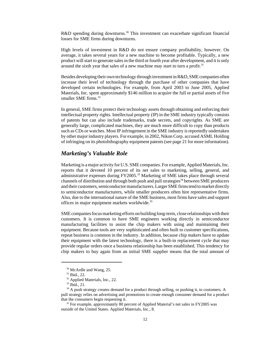R&D spending during downturns.<sup>30</sup> This investment can exacerbate significant financial losses for SME firms during downturns.

High levels of investment in R&D do not ensure company profitability, however. On average, it takes several years for a new machine to become profitable. Typically, a new product will start to generate sales in the third or fourth year after development, and it is only around the sixth year that sales of a new machine may start to turn a profit.<sup>31</sup>

Besides developing their own technology through investment in R&D, SME companies often increase their level of technology through the purchase of other companies that have developed certain technologies. For example, from April 2003 to June 2005, Applied Materials, Inc. spent approximately \$146 million to acquire the full or partial assets of five smaller SME firms.<sup>32</sup>

In general, SME firms protect their technology assets through obtaining and enforcing their intellectual property rights. Intellectual property (IP) in the SME industry typically consists of patents but can also include trademarks, trade secrets, and copyrights. As SME are generally large, complicated machines, they are much more difficult to copy than products such as CDs or watches. Most IP infringement in the SME industry is reportedly undertaken by other major industry players. For example, in 2002, Nikon Corp. accused ASML Holding of infringing on its photolithography equipment patents (see page 21 for more information).

#### *Marketing's Valuable Role*

Marketing is a major activity for U.S. SME companies. For example, Applied Materials, Inc. reports that it devoted 10 percent of its net sales to marketing, selling, general, and administrative expenses during FY2005.<sup>33</sup> Marketing of SME takes place through several channels of distribution and through both push and pull strategies<sup>34</sup> between SME producers and their customers, semiconductor manufacturers. Larger SME firms tend to market directly to semiconductor manufacturers, while smaller producers often hire representative firms. Also, due to the international nature of the SME business, most firms have sales and support offices in major equipment markets worldwide.<sup>35</sup>

SME companies focus marketing efforts on building long-term, close relationships with their customers. It is common to have SME engineers working directly in semiconductor manufacturing facilities to assist the chip makers with using and maintaining their equipment. Because tools are very sophisticated and often built to customer specifications, repeat business is common in the industry. In addition, because chip makers have to update their equipment with the latest technology, there is a built-in replacement cycle that may provide regular orders once a business relationship has been established. This tendency for chip makers to buy again from an initial SME supplier means that the total amount of

 $30$  McArdle and Wang, 25.

 $31$  Ibid., 22.

<sup>&</sup>lt;sup>32</sup> Applied Materials, Inc., 22.

 <sup>33</sup> Ibid., 21.

 $34$  A push strategy creates demand for a product through selling, or pushing it, to customers. A pull strategy relies on advertising and promotions to create enough consumer demand for a product that the consumers begin requesting it.

<sup>&</sup>lt;sup>35</sup> For example, approximately 80 percent of Applied Material's net sales in FY2005 was outside of the United States. Applied Materials, Inc., 8.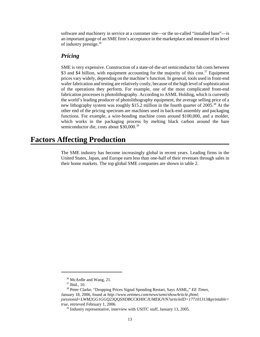software and machinery in service at a customer site—or the so-called "installed base"—is an important gauge of an SME firm's acceptance in the marketplace and measure of its level of industry prestige.36

#### *Pricing*

SME is very expensive. Construction of a state-of-the-art semiconductor fab costs between \$3 and \$4 billion, with equipment accounting for the majority of this cost.<sup>37</sup> Equipment prices vary widely, depending on the machine's function. In general, tools used in front-end wafer fabrication and testing are relatively costly, because of the high level of sophistication of the operations they perform. For example, one of the most complicated front-end fabrication processes is photolithography. According to ASML Holding, which is currently the world's leading producer of photolithography equipment, the average selling price of a new lithography system was roughly \$15.2 million in the fourth quarter of 2005.38 At the other end of the pricing spectrum are machines used in back-end assembly and packaging functions. For example, a wire-bonding machine costs around \$100,000, and a molder, which works in the packaging process by melting black carbon around the bare semiconductor die, costs about \$30,000.39

## **Factors Affecting Production**

The SME industry has become increasingly global in recent years. Leading firms in the United States, Japan, and Europe earn less than one-half of their revenues through sales in their home markets. The top global SME companies are shown in table 2.

<sup>&</sup>lt;sup>36</sup> McArdle and Wang, 21.

 <sup>37</sup> Ibid., 10.

 <sup>38</sup> Peter Clarke, "Dropping Prices Signal Spending Restart, Says ASML," *EE Times*, January 18, 2006, found at *http://www.eetimes.com/news/semi/showArticle.jhtml; jsessionid=LWM2GG1GGQ23QQSNDBCCKH0CJUMEKJVN?articleID=177101313&printable= true*, retrieved February 1, 2006.

<sup>&</sup>lt;sup>39</sup> Industry representative, interview with USITC staff, January 13, 2005.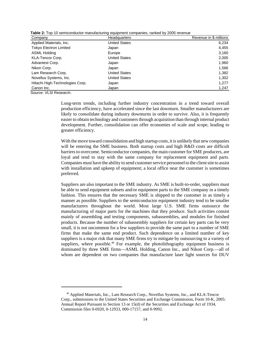| Table 2: Top 10 semiconductor manufacturing equipment companies, ranked by 2005 revenue |  |  |  |
|-----------------------------------------------------------------------------------------|--|--|--|
|-----------------------------------------------------------------------------------------|--|--|--|

| Company                         | <b>Headquarters</b>  | Revenue in \$ millions |
|---------------------------------|----------------------|------------------------|
| Applied Materials, Inc.         | <b>United States</b> | 6,234                  |
| <b>Tokyo Electron Limited</b>   | Japan                | 4,455                  |
| ASML Holding                    | Europe               | 3,160                  |
| KLA-Tencor Corp.                | <b>United States</b> | 2,005                  |
| Advantest Corp.                 | Japan                | 1,960                  |
| Nikon Corp.                     | Japan                | 1,566                  |
| Lam Research Corp.              | <b>United States</b> | 1,382                  |
| Novellus Systems, Inc.          | <b>United States</b> | 1,302                  |
| Hitachi High-Technologies Corp. | Japan                | 1,277                  |
| Canon Inc.                      | Japan                | 1,247                  |

Source: VLSI Research.

Long-term trends, including further industry concentration in a trend toward overall production efficiency, have accelerated since the last downturn. Smaller manufacturers are likely to consolidate during industry downturns in order to survive. Also, it is frequently easier to obtain technology and customers through acquisition than through internal product development. Further, consolidation can offer economies of scale and scope, leading to greater efficiency.

With the move toward consolidation and high startup costs, it is unlikely that new companies will be entering the SME business. Both startup costs and high R&D costs are difficult barriers to overcome. Semiconductor companies, the main customer for SME producers, are loyal and tend to stay with the same company for replacement equipment and parts. Companies must have the ability to send customer service personnel to the client site to assist with installation and upkeep of equipment; a local office near the customer is sometimes preferred.

Suppliers are also important to the SME industry. As SME is built-to-order, suppliers must be able to send equipment subsets and/or equipment parts to the SME company in a timely fashion. This ensures that the necessary SME is shipped to the customer in as timely a manner as possible. Suppliers to the semiconductor equipment industry tend to be smaller manufacturers throughout the world. Most large U.S. SME firms outsource the manufacturing of major parts for the machines that they produce. Such activities consist mainly of assembling and testing components, subassemblies, and modules for finished products. Because the number of subassembly suppliers for certain key parts can be very small, it is not uncommon for a few suppliers to provide the same part to a number of SME firms that make the same end product. Such dependence on a limited number of key suppliers is a major risk that many SME firms try to mitigate by outsourcing to a variety of suppliers, where possible.<sup>40</sup> For example, the photolithography equipment business is dominated by three SME firms—ASML Holding, Canon Inc., and Nikon Corp.—all of whom are dependent on two companies that manufacture laser light sources for DUV

 <sup>40</sup> Applied Materials, Inc., Lam Research Corp., Novellus Systems, Inc., and KLA-Tencor Corp., submissions to the United States Securities and Exchange Commission, Form 10-K, 2005: Annual Report Pursuant to Section 13 or 15(d) of the Securities and Exchange Act of 1934, Commission files 0-6920, 0-12933, 000-17157, and 0-9992.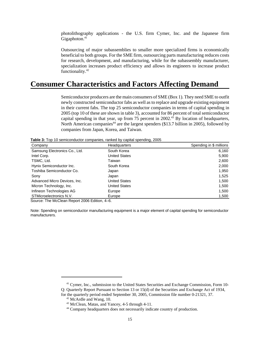photolithography applications - the U.S. firm Cymer, Inc. and the Japanese firm Gigaphoton.<sup>41</sup>

Outsourcing of major subassemblies to smaller more specialized firms is economically beneficial to both groups. For the SME firm, outsourcing parts manufacturing reduces costs for research, development, and manufacturing, while for the subassembly manufacturer, specialization increases product efficiency and allows its engineers to increase product functionality.42

## **Consumer Characteristics and Factors Affecting Demand**

Semiconductor producers are the main consumers of SME (Box 1). They need SME to outfit newly constructed semiconductor fabs as well as to replace and upgrade existing equipment in their current fabs. The top 25 semiconductor companies in terms of capital spending in 2005 (top 10 of these are shown in table 3), accounted for 86 percent of total semiconductor capital spending in that year, up from 75 percent in 2002.<sup>43</sup> By location of headquarters, North American companies<sup>44</sup> are the largest spenders (\$13.7 billion in 2005), followed by companies from Japan, Korea, and Taiwan.

**Table 3:** Top 10 semiconductor companies, ranked by capital spending, 2005

| Company                       | <b>Headquarters</b>  | Spending in \$ millions |
|-------------------------------|----------------------|-------------------------|
| Samsung Electronics Co., Ltd. | South Korea          | 6,160                   |
| Intel Corp.                   | <b>United States</b> | 5,900                   |
| TSMC, Ltd.                    | Taiwan               | 2,600                   |
| Hynix Semiconductor Inc.      | South Korea          | 2,000                   |
| Toshiba Semiconductor Co.     | Japan                | 1.950                   |
| Sony                          | Japan                | 1,525                   |
| Advanced Micro Devices, Inc.  | <b>United States</b> | 1,500                   |
| Micron Technology, Inc.       | <b>United States</b> | 1,500                   |
| Infineon Technologies AG      | Europe               | 1,500                   |
| STMicroelectronics N.V.       | Europe               | 1,500                   |

Source: The McClean Report 2006 Edition, 4–6.

Note: Spending on semiconductor manufacturing equipment is a major element of capital spending for semiconductor manufacturers.

<sup>&</sup>lt;sup>41</sup> Cymer, Inc., submission to the United States Securities and Exchange Commission, Form 10-Q: Quarterly Report Pursuant to Section 13 or 15(d) of the Securities and Exchange Act of 1934, for the quarterly period ended September 30, 2005, Commission file number 0-21321, 37.

<sup>&</sup>lt;sup>42</sup> McArdle and Wang, 10.

 <sup>43</sup> McClean, Matas, and Yancey, 4-5 through 4-11.

<sup>&</sup>lt;sup>44</sup> Company headquarters does not necessarily indicate country of production.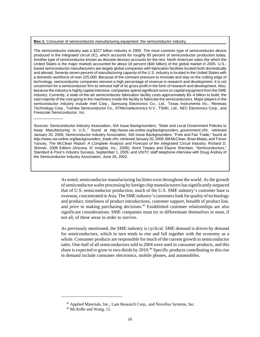#### **Box 1:** Consumer of semiconductor manufacturing equipment: the semiconductor industry

 $\overline{\phantom{a}}$ 

The semiconductor industry was a \$227 billion industry in 2005. The most common type of semiconductor device produced is the integrated circuit (IC), which accounts for roughly 85 percent of semiconductor production today. Another type of semiconductor known as discrete devices accounts for the rest. North American sales (for which the United States is the major market) accounted for about 18 percent (\$40 billion) of the global market in 2005. U.S. based semiconductor manufacturers are largely global companies with fabrication facilities located both domestically and abroad. Seventy-seven percent of manufacturing capacity of the U.S. industry is located in the United States with a domestic workforce of over 225,000. Because of the constant pressure to innovate and stay on the cutting edge of technology, semiconductor companies reinvest a high percentage of revenue in research and development. It is not uncommon for a semiconductor firm to reinvest half of its gross profit in the form of research and development. Also, because the industry is highly capital intensive, companies spend significant sums on capital equipment from the SME industry. Currently, a state-of-the-art semiconductor fabrication facility costs approximately \$3–4 billion to build, the vast majority of the cost going to the machinery inside the facility to fabricate the semiconductors. Major players in the semiconductor industry include Intel Corp., Samsung Electronics Co., Ltd., Texas Instruments Inc., Renesas Technology Corp., Toshiba Semiconductor Co., STMicroelectronics N.V., TSMC, Ltd., NEC Electronics Corp., and Freescale Semiconductor, Inc.

Sources: Semiconductor Industry Association, SIA Issue Backgrounders, "State and Local Government Policies to Keep Manufacturing in U.S.," found at *http://www.sia-online.org/backgrounders\_government.cfm*, retrieved January 20, 2006; Semiconductor Industry Association, SIA Issue Backgrounders: "Free and Fair Trade," found at *http://www.sia-online.org/backgrounders\_trade.cfm*, retrieved January 20, 2006; Bill McClean, Brian Matas, and Trevor Yancey, *The McClean Report: A Complete Analysis and Forecast of the Integrated Circuit Industry*, Richard D. Skinner, 2006 Edition (Arizona, IC Insights, Inc., 2006); Amrit Tewary and Elayne Sheridan, "Semiconductors," Standard & Poor's Industry Surveys, September 1, 2005; and USITC staff telephone interview with Doug Andrey of the Semiconductor Industry Association, June 26, 2002.

> As noted, semiconductor manufacturing facilities exist throughout the world. As the growth of semiconductor wafer processing by foreign chip manufacturers has significantly outpaced that of U.S. semiconductor production, much of the U.S. SME industry's customer base is overseas, concentrated in Asia. The SME industry's customers look for quality of technology and product, timeliness of product introductions, customer support, breadth of product line, and price in making purchasing decisions.<sup>45</sup> Established customer relationships are also significant considerations. SME companies must try to differentiate themselves in most, if not all, of these areas in order to survive.

> As previously mentioned, the SME industry is cyclical. SME demand is driven by demand for semiconductors, which in turn tends to rise and fall together with the economy as a whole. Consumer products are responsible for much of the current growth in semiconductor sales. One-half of all semiconductors sold in 2004 were used in consumer products, and this share is expected to grow to two-thirds by 2010.<sup>46</sup> Specific products contributing to this rise in demand include consumer electronics, mobile phones, and automobiles.

 <sup>45</sup> Applied Materials, Inc., Lam Research Corp., and Novellus Systems, Inc.

<sup>&</sup>lt;sup>46</sup> McArdle and Wang, 12.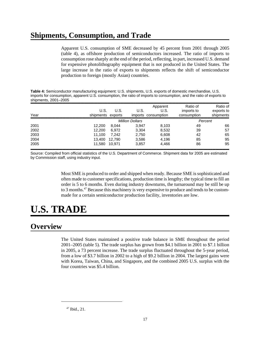## **Shipments, Consumption, and Trade**

Apparent U.S. consumption of SME decreased by 45 percent from 2001 through 2005 (table 4), as offshore production of semiconductors increased. The ratio of imports to consumption rose sharply at the end of the period, reflecting, in part, increased U.S. demand for expensive photolithography equipment that is not produced in the United States. The large increase in the ratio of exports to shipments reflects the shift of semiconductor production to foreign (mostly Asian) countries.

**Table 4:** Semiconductor manufacturing equipment: U.S. shipments, U.S. exports of domestic merchandise, U.S. imports for consumption, apparent U.S. consumption, the ratio of imports to consumption, and the ratio of exports to shipments, 2001–2005

| Year | U.S.<br>shipments exports | U.S.   | U.S.                   | Apparent<br>U.S.<br>imports consumption | Ratio of<br>imports to<br>consumption | Ratio of<br>exports to<br>shipments |
|------|---------------------------|--------|------------------------|-----------------------------------------|---------------------------------------|-------------------------------------|
|      |                           |        | <b>Million Dollars</b> |                                         | Percent                               |                                     |
| 2001 | 12,200                    | 8.044  | 3,947                  | 8,103                                   | 49                                    | 66                                  |
| 2002 | 12,200                    | 6.972  | 3,304                  | 8,532                                   | 39                                    | 57                                  |
| 2003 | 11.100                    | 7.242  | 2,750                  | 6,608                                   | 42                                    | 65                                  |
| 2004 | 13,400                    | 12.790 | 3,586                  | 4,196                                   | 85                                    | 95                                  |
| 2005 | 11,580                    | 10.971 | 3,857                  | 4,466                                   | 86                                    | 95                                  |

Source: Compiled from official statistics of the U.S. Department of Commerce. Shipment data for 2005 are estimated by Commission staff, using industry input.

> Most SME is produced to order and shipped when ready. Because SME is sophisticated and often made to customer specifications, production time is lengthy; the typical time to fill an order is 5 to 6 months. Even during industry downturns, the turnaround may be still be up to 3 months.<sup>47</sup> Because this machinery is very expensive to produce and tends to be custommade for a certain semiconductor production facility, inventories are low.

# **U.S. TRADE**

## **Overview**

The United States maintained a positive trade balance in SME throughout the period 2001–2005 (table 5). The trade surplus has grown from \$4.1 billion in 2001 to \$7.1 billion in 2005, a 73 percent increase. The trade surplus fluctuated throughout the 5-year period, from a low of \$3.7 billion in 2002 to a high of \$9.2 billion in 2004. The largest gains were with Korea, Taiwan, China, and Singapore, and the combined 2005 U.S. surplus with the four countries was \$5.4 billion.

 <sup>47</sup> Ibid., 21.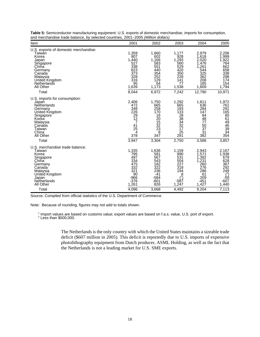| Item                                                                                                                                                                   | 2001                                                                               | 2002                                                                                | 2003                                                                                                | 2004                                                                                            | 2005                                                                                                                 |
|------------------------------------------------------------------------------------------------------------------------------------------------------------------------|------------------------------------------------------------------------------------|-------------------------------------------------------------------------------------|-----------------------------------------------------------------------------------------------------|-------------------------------------------------------------------------------------------------|----------------------------------------------------------------------------------------------------------------------|
| U.S. exports of domestic merchandise:<br>Taiwan<br>Korea<br>Japan<br>Singapore<br>Chiña<br>Germany<br>Canada<br>Malaysia<br>United Kingdom<br>Netherlands<br>All Other | 1,359<br>807<br>1,440<br>527<br>338<br>823<br>373<br>328<br>316<br>95<br>1,639     | 1,660<br>602<br>1,166<br>583<br>551<br>440<br>354<br>252<br>129<br>64<br>1,173      | 1,177<br>928<br>1,293<br>560<br>529<br>420<br>350<br>228<br>141<br>77<br>1,538                      | 2,979<br>1,618<br>2,020<br>1,476<br>1,261<br>544<br>325<br>362<br>208<br>185<br>1,809           | 2,206<br>1,999<br>1,922<br>764<br>662<br>658<br>$\overline{3}\overline{3}\overline{8}$<br>298<br>174<br>154<br>1,794 |
| Total                                                                                                                                                                  | 8,044                                                                              | 6,972                                                                               | 7,242                                                                                               | 12,790                                                                                          | 10,971                                                                                                               |
| U.S. imports for consumption:<br>Japan<br>Netherlands<br>Germany<br>United Kingdom<br>Singapore<br>Korea<br>Malaysia<br>Canada<br>Taiwan<br>China<br>All Other         | 2,406<br>472<br>348<br>226<br>$\frac{29}{12}$<br>41<br>25<br>4<br>378              | 1,750<br>665<br>258<br>170<br>16<br>$\frac{20}{15}$<br>$\frac{32}{23}$<br>8<br>347  | 1,292<br>665<br>193<br>$1\bar{3}\bar{3}$<br>28<br>$\bar{3}\check{8}$<br>34<br>32<br>17<br>25<br>291 | 1,811<br>636<br>284<br>147<br>84<br>48<br>77<br>50<br>$\overline{37}$<br>$\overline{31}$<br>382 | 1,972<br>761<br>291<br>165<br>851<br>64<br>46<br>46<br>39<br>34<br>354                                               |
| Total                                                                                                                                                                  | 3,947                                                                              | 3,304                                                                               | 2,750                                                                                               | 3,586                                                                                           | 3,857                                                                                                                |
| U.S. merchandise trade balance:<br>Taiwan<br>Korea<br>Singapore<br>Chiňa<br>Germany<br>Canada<br>Malaysia<br>United Kingdom<br>Japan<br>Netherlands<br>All Other       | 1,335<br>795<br>497<br>334<br>475<br>332<br>321<br>90<br>$-966$<br>$-376$<br>1,261 | 1,636<br>581<br>567<br>543<br>182<br>322<br>236<br>$-41$<br>$-584$<br>$-601$<br>826 | 1,159<br>890<br>531<br>504<br>227<br>318<br>194<br>$^{8}_{(2)}$<br>-587<br>1,247                    | 2,943<br>1,571<br>1,392<br>1,231<br>260<br>276<br>286<br>61<br>209<br>$-451$<br>1,427           | 2,167<br>1,938<br>679<br>628<br>367<br>$\frac{292}{2}$<br>249<br>$\frac{1}{2}$ -50<br>$-607$<br>1,440                |
| Total                                                                                                                                                                  | 4,096                                                                              | 3,668                                                                               | 4,492                                                                                               | 9,204                                                                                           | 7,113                                                                                                                |

**Table 5:** Semiconductor manufacturing equipment: U.S. exports of domestic merchandise, imports for consumption, and merchandise trade balance, by selected countries, 2001–2005 *(Million dollars)* 

Source: Compiled from official statistics of the U.S. Department of Commerce.

Note: Because of rounding, figures may not add to totals shown.

<sup>1</sup> Import values are based on customs value; export values are based on f.a.s. value, U.S. port of export.<br><sup>2</sup> Less than \$500,000.

The Netherlands is the only country with which the United States maintains a sizeable trade deficit (\$607 million in 2005). This deficit is reportedly due to U.S. imports of expensive photolithography equipment from Dutch producer, ASML Holding, as well as the fact that the Netherlands is not a leading market for U.S. SME exports.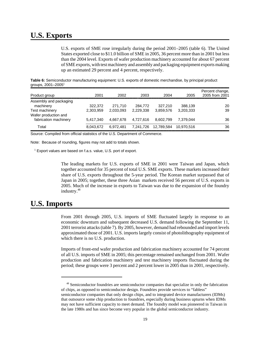## **U.S. Exports**

U.S. exports of SME rose irregularly during the period 2001–2005 (table 6). The United States exported close to \$11.0 billion of SME in 2005, 36 percent more than in 2001 but less than the 2004 level. Exports of wafer production machinery accounted for about 67 percent of SME exports, with test machinery and assembly and packaging equipment exports making up an estimated 29 percent and 4 percent, respectively.

**Table 6:** Semiconductor manufacturing equipment: U.S. exports of domestic merchandise, by principal product groups,  $2001 - 2005$ <sup>1</sup>

| Product group                          | 2001      | 2002      | 2003      | 2004       | 2005       | Percent change,<br>2005 from 2001 |
|----------------------------------------|-----------|-----------|-----------|------------|------------|-----------------------------------|
| Assembly and packaging                 |           |           |           |            |            |                                   |
| machinery                              | 322,372   | 271.710   | 284,772   | 327.210    | 388,139    | 20                                |
| Test machinery<br>Wafer production and | 2,303,959 | 2,033,093 | 2,229,338 | 3,859,576  | 3,203,333  | 39                                |
| fabrication machinery                  | 5.417.340 | 4.667.678 | 4.727.616 | 8.602.799  | 7.379.044  | 36                                |
| Total                                  | 8,043,672 | 6.972.481 | 7,241,726 | 12.789.584 | 10.970.516 | 36                                |

**Source: Compiled from official statistics of the U.S. Department of Commerce.** 

Note: Because of rounding, figures may not add to totals shown.

<sup>1</sup> Export values are based on f.a.s. value, U.S. port of export.

The leading markets for U.S. exports of SME in 2001 were Taiwan and Japan, which together accounted for 35 percent of total U.S. SME exports. These markets increased their share of U.S. exports throughout the 5-year period. The Korean market surpassed that of Japan in 2005; together, these three Asian markets received 56 percent of U.S. exports in 2005. Much of the increase in exports to Taiwan was due to the expansion of the foundry industry.<sup>48</sup>

## **U.S. Imports**

From 2001 through 2005, U.S. imports of SME fluctuated largely in response to an economic downturn and subsequent decreased U.S. demand following the September 11, 2001 terrorist attacks (table 7). By 2005, however, demand had rebounded and import levels approximated those of 2001. U.S. imports largely consist of photolithography equipment of which there is no U.S. production.

Imports of front-end wafer production and fabrication machinery accounted for 74 percent of all U.S. imports of SME in 2005; this percentage remained unchanged from 2001. Wafer production and fabrication machinery and test machinery imports fluctuated during the period; these groups were 3 percent and 2 percent lower in 2005 than in 2001, respectively.

<sup>48</sup> Semiconductor foundries are semiconductor companies that specialize in only the fabrication of chips, as opposed to semiconductor design. Foundries provide services to "fabless" semiconductor companies that only design chips, and to integrated device manufacturers (IDMs) that outsource some chip production to foundries, especially during business upturns when IDMs may not have sufficient capacity to meet demand. The foundry model was pioneered in Taiwan in the late 1980s and has since become very popular in the global semiconductor industry.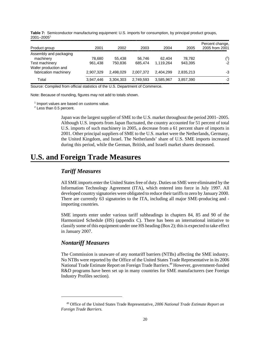| Product group                          | 2001      | 2002      | 2003      | 2004      | 2005      | Percent change,<br>2005 from 2001 |
|----------------------------------------|-----------|-----------|-----------|-----------|-----------|-----------------------------------|
| Assembly and packaging<br>machinery    | 78,680    | 55.438    | 56.746    | 62.404    | 78,782    | $(^{2})$                          |
| Test machinery<br>Wafer production and | 961.438   | 750.836   | 685.474   | 1.119.264 | 943.395   | $-2$                              |
| fabrication machinery                  | 2.907.329 | 2.498.029 | 2.007.372 | 2.404.299 | 2,835,213 | -3                                |
| Total                                  | 3.947.446 | 3.304.303 | 2.749.593 | 3.585.967 | 3,857,390 | -2                                |

**Table 7:** Semiconductor manufacturing equipment: U.S. imports for consumption, by principal product groups, 2001–20051

Source: Compiled from official statistics of the U.S. Department of Commerce.

Note: Because of rounding, figures may not add to totals shown.

<sup>1</sup> Import values are based on customs value.

 $2$  Less than 0.5 percent.

Japan was the largest supplier of SME to the U.S. market throughout the period 2001–2005. Although U.S. imports from Japan fluctuated, the country accounted for 51 percent of total U.S. imports of such machinery in 2005, a decrease from a 61 percent share of imports in 2001. Other principal suppliers of SME to the U.S. market were the Netherlands, Germany, the United Kingdom, and Israel. The Netherlands' share of U.S. SME imports increased during this period, while the German, British, and Israeli market shares decreased.

## **U.S. and Foreign Trade Measures**

#### *Tariff Measures*

All SME imports enter the United States free of duty. Duties on SME were eliminated by the Information Technology Agreement (ITA), which entered into force in July 1997. All developed country signatories were obligated to reduce their tariffs to zero by January 2000. There are currently 63 signatories to the ITA, including all major SME-producing and importing countries.

SME imports enter under various tariff subheadings in chapters 84, 85 and 90 of the Harmonized Schedule (HS) (appendix C). There has been an international initiative to classify some of this equipment under one HS heading (Box 2); this is expected to take effect in January 2007.

#### *Nontariff Measures*

The Commission is unaware of any nontariff barriers (NTBs) affecting the SME industry. No NTBs were reported by the Office of the United States Trade Representative in its 2006 National Trade Estimate Report on Foreign Trade Barriers.<sup>49</sup> However, government-funded R&D programs have been set up in many countries for SME manufacturers (see Foreign Industry Profiles section).

 <sup>49</sup> Office of the United States Trade Representative, *2006 National Trade Estimate Report on Foreign Trade Barriers.*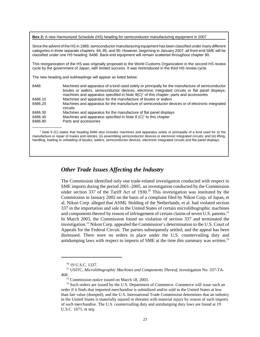**Box 2:** A new Harmonized Schedule (HS) heading for semiconductor manufacturing equipment in 2007

Since the advent of the HS in 1989, semiconductor manufacturing equipment has been classified under many different categories in three separate chapters: 84, 85, and 90. However, beginning in January 2007, all front-end SME will be classified under one HS heading: 8486. Back-end equipment will remain scattered throughout chapter 90.

This reorganization of the HS was originally proposed to the World Customs Organization in the second HS review cycle by the government of Japan, with limited success. It was reintroduced in the third HS review cycle.

The new heading and subheadings will appear as listed below:

| 8486    | Machines and apparatus of a kind used solely or principally for the manufacture of semiconductor<br>boules or wafers, semiconductor devices, electronic integrated circuits or flat panel displays;<br>machines and apparatus specified in Note $9(C)^1$ of this chapter; parts and accessories |
|---------|-------------------------------------------------------------------------------------------------------------------------------------------------------------------------------------------------------------------------------------------------------------------------------------------------|
| 8486.10 | Machines and apparatus for the manufacture of boules or wafers                                                                                                                                                                                                                                  |
| 8486.20 | Machines and apparatus for the manufacture of semiconductor devices or of electronic integrated<br>circuits                                                                                                                                                                                     |
| 8486.30 | Machines and apparatus for the manufacture of flat panel displays                                                                                                                                                                                                                               |
| 8486.40 | Machines and apparatus specified in Note $9 (C)^1$ to this chapter                                                                                                                                                                                                                              |
| 8486.90 | Parts and accessories                                                                                                                                                                                                                                                                           |
|         |                                                                                                                                                                                                                                                                                                 |

1 Note 9 (C) states that heading 8486 also includes machines and apparatus solely or principally of a kind used for (i) the manufacture or repair of masks and reticles; (ii) assembling semiconductor devices or electronic integrated circuits; and (iii) lifting, handling, loading or unloading of boules, wafers, semiconductor devices, electronic integrated circuits and flat panel displays.

#### *Other Trade Issues Affecting the Industry*

The Commission identified only one trade-related investigation conducted with respect to SME imports during the period 2001–2005, an investigation conducted by the Commission under section 337 of the Tariff Act of  $1930$ <sup>50</sup> This investigation was instituted by the Commission in January 2002 on the basis of a complaint filed by Nikon Corp. of Japan, et al. Nikon Corp. alleged that ASML Holding of the Netherlands, et al. had violated section 337 in the importation and sale in the United States of certain microlithographic machines and components thereof by reason of infringement of certain claims of seven U.S. patents.<sup>51</sup> In March 2003, the Commission found no violation of section 337 and terminated the investigation.<sup>52</sup> Nikon Corp. appealed the Commission's determination to the U.S. Court of Appeals for the Federal Circuit. The parties subsequently settled, and the appeal has been dismissed. There were no orders in place under the U.S. countervailing duty and antidumping laws with respect to imports of SME at the time this summary was written.<sup>53</sup>

 <sup>50 19</sup> U.S.C. 1337.

 <sup>51</sup> USITC, *Microlithographic Machines and Components Thereof*, investigation No. 337-TA-468.

 $52$  Commission notice issued on March 18, 2003.

<sup>53</sup> Such orders are issued by the U.S. Department of Commerce. Commerce will issue such an order if it finds that imported merchandise is subsidized and/or sold in the United States at less than fair value (dumped), and the U.S. International Trade Commission determines that an industry in the United States is materially injured or threaten with material injury by reason of such imports of such merchandise. The U.S. countervailing duty and antidumping duty laws are found at 19 U.S.C. 1671, et seq.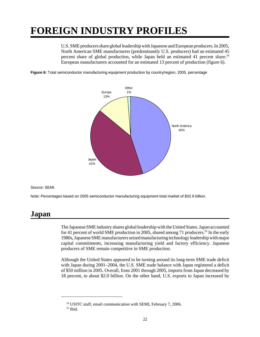# **FOREIGN INDUSTRY PROFILES**

U.S. SME producers share global leadership with Japanese and European producers. In 2005, North American SME manufacturers (predominantly U.S. producers) had an estimated 45 percent share of global production, while Japan held an estimated 41 percent share.<sup>54</sup> European manufacturers accounted for an estimated 13 percent of production (figure 6).

**Figure 6:** Total semiconductor manufacturing equipment production by country/region, 2005, percentage



Source: SEMI.

Note: Percentages based on 2005 semiconductor manufacturing equipment total market of \$32.9 billion.

## **Japan**

The Japanese SME industry shares global leadership with the United States. Japan accounted for 41 percent of world SME production in 2005, shared among 71 producers.<sup>55</sup> In the early 1980s, Japanese SME manufacturers seized manufacturing technology leadership with major capital commitments, increasing manufacturing yield and factory efficiency. Japanese producers of SME remain competitive in SME production.

Although the United States appeared to be turning around its long-term SME trade deficit with Japan during 2001–2004, the U.S. SME trade balance with Japan registered a deficit of \$50 million in 2005. Overall, from 2001 through 2005, imports from Japan decreased by 18 percent, to about \$2.0 billion. On the other hand, U.S. exports to Japan increased by

 <sup>54</sup> USITC staff, email communication with SEMI, February 7, 2006.

 $55$  Ibid.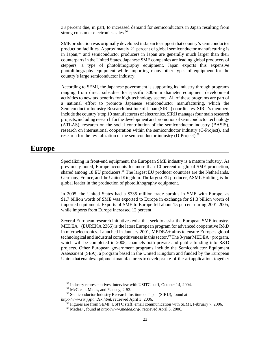33 percent due, in part, to increased demand for semiconductors in Japan resulting from strong consumer electronics sales.<sup>56</sup>

SME production was originally developed in Japan to support that country's semiconductor production facilities. Approximately 21 percent of global semiconductor manufacturing is in Japan,  $57$  and semiconductor producers in Japan are generally much larger than their counterparts in the United States. Japanese SME companies are leading global producers of steppers, a type of photolithography equipment. Japan exports this expensive photolithography equipment while importing many other types of equipment for the country's large semiconductor industry**.**

According to SEMI, the Japanese government is supporting its industry through programs ranging from direct subsidies for specific 300-mm diameter equipment development activities to new tax benefits for high-technology sectors. All of these programs are part of a national effort to promote Japanese semiconductor manufacturing, which the Semiconductor Industry Research Institute of Japan (SIRIJ) coordinates. SIRIJ's members include the country's top 10 manufacturers of electronics. SIRIJ manages four main research projects, including research for the development and promotion of semiconductor technology (ATLAS), research on the social contribution of the semiconductor industry (BASIS), research on international cooperation within the semiconductor industry (C-Project), and research for the revitalization of the semiconductor industry (D-Project).<sup>58</sup>

## **Europe**

Specializing in front-end equipment, the European SME industry is a mature industry. As previously noted, Europe accounts for more than 10 percent of global SME production, shared among 18 EU producers.<sup>59</sup> The largest EU producer countries are the Netherlands, Germany, France, and the United Kingdom. The largest EU producer, ASML Holding, is the global leader in the production of photolithography equipment.

In 2005, the United States had a \$335 million trade surplus in SME with Europe, as \$1.7 billion worth of SME was exported to Europe in exchange for \$1.3 billion worth of imported equipment. Exports of SME to Europe fell about 15 percent during 2001-2005, while imports from Europe increased 12 percent.

Several European research initiatives exist that seek to assist the European SME industry. MEDEA+ (EUREKA 2365) is the latest European program for advanced cooperative R&D in microelectronics. Launched in January 2001, MEDEA+ aims to ensure Europe's global technological and industrial competitiveness in this sector.<sup>60</sup> The 8-year MEDEA+ program, which will be completed in 2008, channels both private and public funding into R&D projects. Other European government programs include the Semiconductor Equipment Assessment (SEA), a program based in the United Kingdom and funded by the European Union that enables equipment manufacturers to develop state-of-the-art applications together

 <sup>56</sup> Industry representatives, interview with USITC staff, October 14, 2004.

 <sup>57</sup> McClean, Matas, and Yancey, 2-53.

 <sup>58</sup> Semiconductor Industry Research Institute of Japan (SIRIJ), found at

*http://www.sirij.jp/index.html*, retrieved April 3, 2006.

<sup>&</sup>lt;sup>59</sup> Figures are from SEMI. USITC staff, email communication with SEMI, February 7, 2006.

 <sup>60</sup> Medea+, found at *http://www.medea.org/*, retrieved April 3, 2006.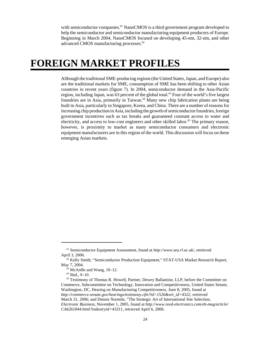with semiconductor companies.<sup>61</sup> NanoCMOS is a third government program developed to help the semiconductor and semiconductor manufacturing equipment producers of Europe. Beginning in March 2004, NanoCMOS focused on developing 45-nm, 32-nm, and other advanced CMOS manufacturing processes.<sup>62</sup>

# **FOREIGN MARKET PROFILES**

Although the traditional SME-producing regions (the United States, Japan, and Europe) also are the traditional markets for SME, consumption of SME has been shifting to other Asian countries in recent years (figure 7). In 2004, semiconductor demand in the Asia-Pacific region, including Japan, was 63 percent of the global total.<sup>63</sup> Four of the world's five largest foundries are in Asia, primarily in Taiwan.<sup>64</sup> Many new chip fabrication plants are being built in Asia, particularly in Singapore, Korea, and China. There are a number of reasons for increasing chip production in Asia, including the growth of semiconductor foundries, foreign government incentives such as tax breaks and guaranteed constant access to water and electricity, and access to low-cost engineers and other skilled labor.<sup>65</sup> The primary reason, however, is proximity to market as many semiconductor consumers and electronic equipment manufacturers are in this region of the world. This discussion will focus on these emerging Asian markets.

 <sup>61</sup> Semiconductor Equipment Assessment, found at *http://www.sea.rl.ac.uk/*, retrieved April 3, 2006.

 <sup>62</sup> Kelly Smith, "Semiconductor Production Equipment," STAT-USA Market Research Report, May 7, 2004.

 $63$  McArdle and Wang, 10–12.

 $64$  Ibid., 9–10.

 $65$  Testimony of Thomas R. Howell, Partner, Dewey Ballantine, LLP, before the Committee on Commerce, Subcommittee on Technology, Innovation and Competitiveness, United States Senate, Washington, DC, Hearing on Manufacturing Competitiveness, June 8, 2005, found at *http://commerce.senate.gov/hearings/testimony.cfm?id=1526&wit\_id=4322*, retrieved March 31, 2006; and Dennis Normile, "The Strategic Art of International Site Selection, *Electronic Business*, November 1, 2005, found at *http://www.reed-electronics.com/eb-mag/article/ CA6261844.html?industryid=43311*, retrieved April 6, 2006.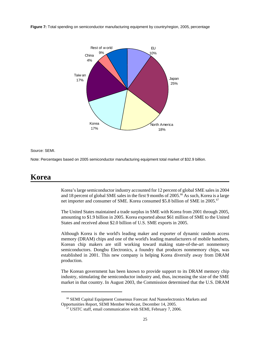**Figure 7:** Total spending on semiconductor manufacturing equipment by country/region, 2005, percentage



#### Source: SEMI.

Note: Percentages based on 2005 semiconductor manufacturing equipment total market of \$32.9 billion.

## **Korea**

Korea's large semiconductor industry accounted for 12 percent of global SME sales in 2004 and 18 percent of global SME sales in the first 9 months of  $2005.^{66}$  As such, Korea is a large net importer and consumer of SME. Korea consumed \$5.8 billion of SME in 2005.<sup>67</sup>

The United States maintained a trade surplus in SME with Korea from 2001 through 2005, amounting to \$1.9 billion in 2005. Korea exported about \$61 million of SME to the United States and received about \$2.0 billion of U.S. SME exports in 2005.

Although Korea is the world's leading maker and exporter of dynamic random access memory (DRAM) chips and one of the world's leading manufacturers of mobile handsets, Korean chip makers are still working toward making state-of-the-art nonmemory semiconductors. Dongbu Electronics, a foundry that produces nonmemory chips, was established in 2001. This new company is helping Korea diversify away from DRAM production.

The Korean government has been known to provide support to its DRAM memory chip industry, stimulating the semiconductor industry and, thus, increasing the size of the SME market in that country. In August 2003, the Commission determined that the U.S. DRAM

 <sup>66</sup> SEMI Capital Equipment Consensus Forecast And Nanoelectronics Markets and Opportunities Report, SEMI Member Webcast, December 14, 2005.

 $67$  USITC staff, email communication with SEMI, February 7, 2006.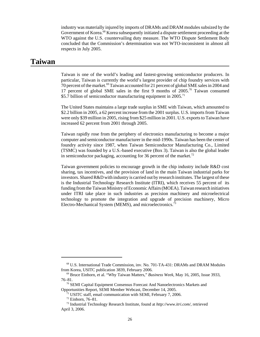industry was materially injured by imports of DRAMs and DRAM modules subsized by the Government of Korea<sup>.68</sup> Korea subsequently initiated a dispute settlement proceeding at the WTO against the U.S. countervailing duty measure. The WTO Dispute Settlement Body concluded that the Commission's determination was not WTO-inconsistent in almost all respects in July 2005.

#### **Taiwan**

Taiwan is one of the world's leading and fastest-growing semiconductor producers. In particular, Taiwan is currently the world's largest provider of chip foundry services with 70 percent of the market.<sup>69</sup> Taiwan accounted for 21 percent of global SME sales in 2004 and 17 percent of global SME sales in the first 9 months of  $2005$ .<sup>70</sup> Taiwan consumed \$5.7 billion of semiconductor manufacturing equipment in 2005.<sup>71</sup>

The United States maintains a large trade surplus in SME with Taiwan, which amounted to \$2.2 billion in 2005, a 62 percent increase from the 2001 surplus. U.S. imports from Taiwan were only \$39 million in 2005, rising from \$25 million in 2001. U.S. exports to Taiwan have increased 62 percent from 2001 through 2005.

Taiwan rapidly rose from the periphery of electronics manufacturing to become a major computer and semiconductor manufacturer in the mid-1990s. Taiwan has been the center of foundry activity since 1987, when Taiwan Semiconductor Manufacturing Co., Limited (TSMC) was founded by a U.S.-based executive (Box 3). Taiwan is also the global leader in semiconductor packaging, accounting for 36 percent of the market.<sup>72</sup>

Taiwan government policies to encourage growth in the chip industry include R&D cost sharing, tax incentives, and the provision of land in the main Taiwan industrial parks for investors. Shared R&D with industry is carried out by research institutes. The largest of these is the Industrial Technology Research Institute (ITRI), which receives 55 percent of its funding from the Taiwan Ministry of Economic Affairs (MOEA). Taiwan research initiatives under ITRI take place in such industries as precision machinery and microelectrical technology to promote the integration and upgrade of precision machinery, Micro Electro-Mechanical System (MEMS), and microelectronics.<sup>73</sup>

 <sup>68</sup> U.S. International Trade Commission, inv. No. 701-TA-431: DRAMs and DRAM Modules from Korea, USITC publication 3839, February 2006.

 <sup>69</sup> Bruce Einhorn, et al. "Why Taiwan Matters," *Business Week*, May 16, 2005, Issue 3933, 76–81.

 <sup>70</sup> SEMI Capital Equipment Consensus Forecast And Nanoelectronics Markets and Opportunities Report, SEMI Member Webcast, December 14, 2005.

 <sup>71</sup> USITC staff, email communication with SEMI, February 7, 2006.

 <sup>72</sup> Einhorn, 76–81.

 <sup>73</sup> Industrial Technology Research Institute, found at *http://www.itri.com/*, retrieved April 3, 2006.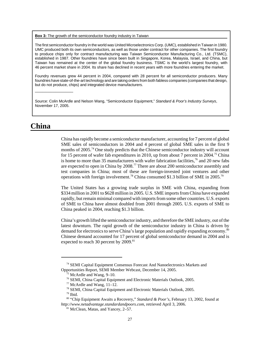**Box 3:** The growth of the semiconductor foundry industry in Taiwan

The first semiconductor foundry in the world was United Microelectronics Corp. (UMC), established in Taiwan in 1980. UMC produced both its own semiconductors, as well as those under contract for other companies. The first foundry to produce chips only for contract manufacturing was Taiwan Semiconductor Manufacturing Co., Ltd. (TSMC), established in 1987. Other foundries have since been built in Singapore, Korea, Malaysia, Israel, and China, but Taiwan has remained at the center of the global foundry business. TSMC is the world's largest foundry, with 46 percent market share in 2004. Its share has declined in recent years with more foundries entering the market.

Foundry revenues grew 44 percent in 2004, compared with 28 percent for all semiconductor producers. Many foundries have state-of-the-art technology and are taking orders from both fabless companies (companies that design, but do not produce, chips) and integrated device manufacturers.

Source: Colin McArdle and Nelson Wang, "Semiconductor Equipment," *Standard & Poor's Industry Surveys*, November 17, 2005.

## **China**

\_\_\_\_\_\_\_\_\_\_\_\_\_\_\_

China has rapidly become a semiconductor manufacturer, accounting for 7 percent of global SME sales of semiconductors in 2004 and 4 percent of global SME sales in the first 9 months of 2005.<sup>74</sup> One study predicts that the Chinese semiconductor industry will account for 15 percent of wafer fab expenditures in 2010, up from about 7 percent in 2004.<sup>75</sup> China is home to more than 35 manufacturers with wafer fabrication facilities,  $\frac{7}{6}$  and 20 new fabs are expected to open in China by 2008.77 There are about 200 semiconductor assembly and test companies in China; most of these are foreign-invested joint ventures and other operations with foreign involvement.78 China consumed \$1.3 billion of SME in 2005.79

The United States has a growing trade surplus in SME with China, expanding from \$334 million in 2001 to \$628 million in 2005. U.S. SME imports from China have expanded rapidly, but remain minimal compared with imports from some other countries. U.S. exports of SME to China have almost doubled from 2001 through 2005. U.S. exports of SME to China peaked in 2004, reaching \$1.3 billion.

China's growth lifted the semiconductor industry, and therefore the SME industry, out of the latest downturn. The rapid growth of the semiconductor industry in China is driven by demand for electronics to serve China's large population and rapidly expanding economy.<sup>80</sup> Chinese demand accounted for 17 percent of global semiconductor demand in 2004 and is expected to reach 30 percent by 2009.<sup>81</sup>

 <sup>74</sup> SEMI Capital Equipment Consensus Forecast And Nanoelectronics Markets and Opportunities Report, SEMI Member Webcast, December 14, 2005.

 $75$  McArdle and Wang, 9–10.

 <sup>76</sup> SEMI, China Capital Equipment and Electronic Materials Outlook, 2005.

 $77$  McArdle and Wang,  $11-12$ .

 <sup>78</sup> SEMI, China Capital Equipment and Electronic Materials Outlook, 2005.

 $79$  Ibid.

 <sup>80 &</sup>quot;Chip Equipment Awaits a Recovery," *Standard & Poor's*, February 13, 2002, found at *http://www.netadvantage.standardandpoors.com*, retrieved April 3, 2006.

 <sup>81</sup> McClean, Matas, and Yancey, 2–57.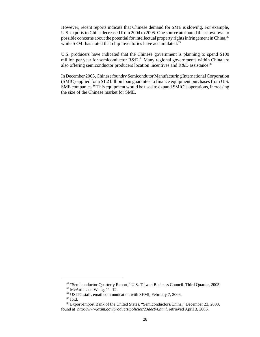However, recent reports indicate that Chinese demand for SME is slowing. For example, U.S. exports to China decreased from 2004 to 2005. One source attributed this slowdown to possible concerns about the potential for intellectual property rights infringement in China, $82$ while SEMI has noted that chip inventories have accumulated.<sup>83</sup>

U.S. producers have indicated that the Chinese government is planning to spend \$100 million per year for semiconductor R&D.<sup>84</sup> Many regional governments within China are also offering semiconductor producers location incentives and  $R&D$  assistance.<sup>85</sup>

In December 2003, Chinese foundry Semicondutor Manufacturing International Corporation (SMIC) applied for a \$1.2 billion loan guarantee to finance equipment purchases from U.S. SME companies.<sup>86</sup> This equipment would be used to expand SMIC's operations, increasing the size of the Chinese market for SME.

<sup>&</sup>lt;sup>82</sup> "Semiconductor Quarterly Report," U.S. Taiwan Business Council. Third Quarter, 2005.

 $83$  McArdle and Wang,  $11-12$ .

 <sup>84</sup> USITC staff, email communication with SEMI, February 7, 2006.

 <sup>85</sup> Ibid.

 <sup>86</sup> Export-Import Bank of the United States, "Semiconductors/China," December 23, 2003, found at *http://www.exim.gov/products/policies/23dec04.html*, retrieved April 3, 2006.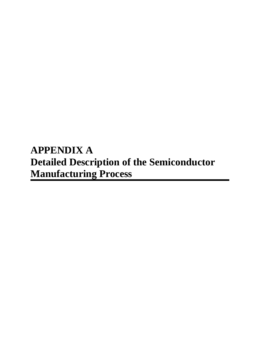# **APPENDIX A Detailed Description of the Semiconductor Manufacturing Process**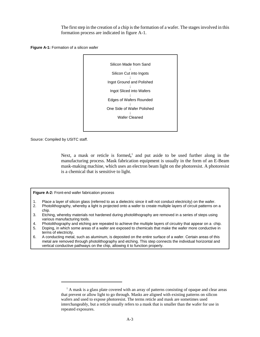The first step in the creation of a chip is the formation of a wafer. The stages involved in this formation process are indicated in figure A-1.

**Figure A-1:** Formation of a silicon wafer



Source: Compiled by USITC staff.

Next, a mask or reticle is formed,<sup>1</sup> and put aside to be used further along in the manufacturing process. Mask fabrication equipment is usually in the form of an E-Beam mask-making machine, which uses an electron beam light on the photoresist. A photoresist is a chemical that is sensitive to light.

**Figure A-2:** Front-end wafer fabrication process

- 1. Place a layer of silicon glass (referred to as a dielectric since it will not conduct electricity) on the wafer.
- 2. Photolithography, whereby a light is projected onto a wafer to create multiple layers of circuit patterns on a chip.
- 3. Etching, whereby materials not hardened during photolithography are removed in a series of steps using various manufacturing tools.
- 4. Photolithography and etching are repeated to achieve the multiple layers of circuitry that appear on a chip.
- 5. Doping, in which some areas of a wafer are exposed to chemicals that make the wafer more conductive in terms of electricity.
- 6. A conducting metal, such as aluminum, is deposited on the entire surface of a wafer. Certain areas of this metal are removed through photolithography and etching. This step connects the individual horizontal and vertical conductive pathways on the chip, allowing it to function properly.

<sup>&</sup>lt;sup>1</sup> A mask is a glass plate covered with an array of patterns consisting of opaque and clear areas that prevent or allow light to go through. Masks are aligned with existing patterns on silicon wafers and used to expose photoresist. The terms reticle and mask are sometimes used interchangeably, but a reticle usually refers to a mask that is smaller than the wafer for use in repeated exposures.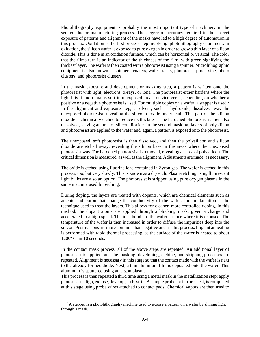Photolithography equipment is probably the most important type of machinery in the semiconductor manufacturing process. The degree of accuracy required in the correct exposure of patterns and alignment of the masks have led to a high degree of automation in this process. Oxidation is the first process step involving photolithography equipment. In oxidation, the silicon wafer is exposed to pure oxygen in order to grow a thin layer of silicon dioxide. This is done in an oxidation furnace, which can be horizontal or vertical. The color that the films turn is an indicator of the thickness of the film, with green signifying the thickest layer. The wafer is then coated with a photoresist using a spinner. Microlithographic equipment is also known as spinners, coaters, wafer tracks, photoresist processing, photo clusters, and photoresist clusters.

In the mask exposure and development or masking step, a pattern is written onto the photoresist with light, electrons, x-rays, or ions. The photoresist either hardens where the light hits it and remains soft in unexposed areas, or vice versa, depending on whether a positive or a negative photoresist is used. For multiple copies on a wafer, a stepper is used.<sup>2</sup> In the alignment and exposure step, a solvent, such as hydroxide, dissolves away the unexposed photoresist, revealing the silicon dioxide underneath. This part of the silicon dioxide is chemically etched to reduce its thickness. The hardened photoresist is then also dissolved, leaving an area of silicon dioxide. In the second masking, layers of polysilicon and photoresist are applied to the wafer and, again, a pattern is exposed onto the photoresist.

The unexposed, soft photoresist is then dissolved, and then the polysilicon and silicon dioxide are etched away, revealing the silicon base in the areas where the unexposed photoresist was. The hardened photoresist is removed, revealing an area of polysilicon. The critical dimension is measured, as well as the alignment. Adjustments are made, as necessary.

The oxide is etched using fluorine ions contained in Zyron gas. The wafer is etched in this process, too, but very slowly. This is known as a dry etch. Plasma etching using fluorescent light bulbs are also an option. The photoresist is stripped using pure oxygen plasma in the same machine used for etching.

During doping, the layers are treated with dopants, which are chemical elements such as arsenic and boron that change the conductivity of the wafer. Ion implantation is the technique used to treat the layers. This allows for cleaner, more controlled doping. In this method, the dopant atoms are applied through a blocking mask, given a charge and accelerated to a high speed. The ions bombard the wafer surface where it is exposed. The temperature of the wafer is then increased in order to diffuse the impurities deep into the silicon. Positive ions are more common than negative ones in this process. Implant annealing is performed with rapid thermal processing, as the surface of the wafer is heated to about 1200º C in 10 seconds.

In the contact mask process, all of the above steps are repeated. An additional layer of photoresist is applied, and the masking, developing, etching, and stripping processes are repeated. Alignment is necessary in this stage so that the contact made with the wafer is next to the already formed diode. Next, a thin aluminum film is deposited onto the wafer. This aluminum is sputtered using an argon plasma.

This process is then repeated a third time using a metal mask in the metallization step: apply photoresist, align, expose, develop, etch, strip. A sample probe, or fab area test, is completed at this stage using probe wires attached to contact pads. Chemical vapors are then used to

<sup>&</sup>lt;sup>2</sup> A stepper is a photolithography machine used to expose a pattern on a wafer by shining light through a mask.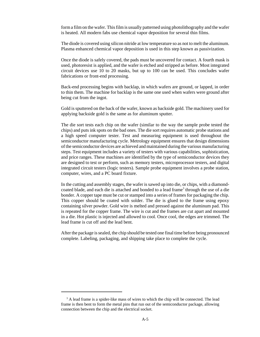form a film on the wafer. This film is usually patterned using photolithography and the wafer is heated. All modern fabs use chemical vapor deposition for several thin films.

The diode is covered using silicon nitride at low temperature so as not to melt the aluminum. Plasma enhanced chemical vapor deposition is used in this step known as passivization.

Once the diode is safely covered, the pads must be uncovered for contact. A fourth mask is used, photoresist is applied, and the wafer is etched and stripped as before. Most integrated circuit devices use 10 to 20 masks, but up to 100 can be used. This concludes wafer fabrications or front-end processing.

Back-end processing begins with backlap, in which wafers are ground, or lapped, in order to thin them. The machine for backlap is the same one used when wafers were ground after being cut from the ingot.

Gold is sputtered on the back of the wafer, known as backside gold. The machinery used for applying backside gold is the same as for aluminum sputter.

The die sort tests each chip on the wafer (similar to the way the sample probe tested the chips) and puts ink spots on the bad ones. The die sort requires automatic probe stations and a high speed computer tester. Test and measuring equipment is used throughout the semiconductor manufacturing cycle. Metrology equipment ensures that design dimensions of the semiconductor devices are achieved and maintained during the various manufacturing steps. Test equipment includes a variety of testers with various capabilities, sophistication, and price ranges. These machines are identified by the type of semiconductor devices they are designed to test or perform, such as memory testers, microprocessor testers, and digital integrated circuit testers (logic testers). Sample probe equipment involves a probe station, computer, wires, and a PC board fixture.

In the cutting and assembly stages, the wafer is sawed up into die, or chips, with a diamondcoated blade, and each die is attached and bonded to a lead frame<sup>3</sup> through the use of a die bonder. A copper tape must be cut or stamped into a series of frames for packaging the chip. This copper should be coated with solder. The die is glued to the frame using epoxy containing silver powder. Gold wire is melted and pressed against the aluminum pad. This is repeated for the copper frame. The wire is cut and the frames are cut apart and mounted in a die. Hot plastic is injected and allowed to cool. Once cool, the edges are trimmed. The lead frame is cut off and the lead bent.

After the package is sealed, the chip should be tested one final time before being pronounced complete. Labeling, packaging, and shipping take place to complete the cycle.

<sup>&</sup>lt;sup>3</sup> A lead frame is a spider-like mass of wires to which the chip will be connected. The lead frame is then bent to form the metal pins that run out of the semiconductor package, allowing connection between the chip and the electrical socket.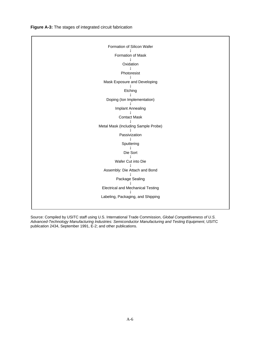**Figure A-3:** The stages of integrated circuit fabrication

| Formation of Silicon Wafer               |
|------------------------------------------|
|                                          |
| Formation of Mask                        |
| Oxidation                                |
|                                          |
| Photoresist                              |
| Mask Exposure and Developing             |
| Etching                                  |
|                                          |
| Doping (Ion Implementation)              |
|                                          |
| Implant Annealing                        |
| <b>Contact Mask</b>                      |
|                                          |
| Metal Mask (Including Sample Probe)      |
|                                          |
| Passivization                            |
|                                          |
| Sputtering                               |
|                                          |
| Die Sort                                 |
|                                          |
| Wafer Cut into Die                       |
|                                          |
| Assembly: Die Attach and Bond            |
|                                          |
| Package Sealing                          |
|                                          |
| <b>Electrical and Mechanical Testing</b> |
|                                          |
| Labeling, Packaging, and Shipping        |
|                                          |
|                                          |
|                                          |

Source: Compiled by USITC staff using U.S. International Trade Commission, *Global Competitiveness of U.S. Advanced-Technology Manufacturing Industries: Semiconductor Manufacturing and Testing Equipment*, USITC publication 2434, September 1991, E-2; and other publications.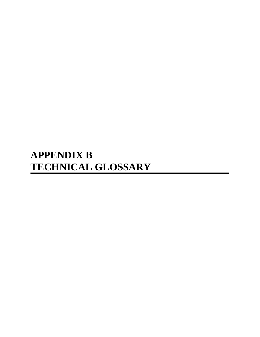# **APPENDIX B TECHNICAL GLOSSARY**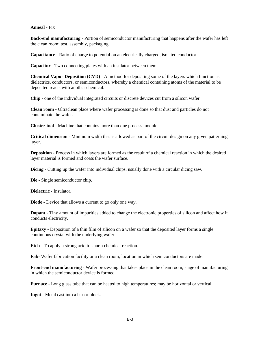#### **Anneal** - Fix

**Back-end manufacturing** - Portion of semiconductor manufacturing that happens after the wafer has left the clean room; test, assembly, packaging.

**Capacitance** - Ratio of charge to potential on an electrically charged, isolated conductor.

**Capacitor** - Two connecting plates with an insulator between them.

**Chemical Vapor Deposition (CVD)** - A method for depositing some of the layers which function as dielectrics, conductors, or semiconductors, whereby a chemical containing atoms of the material to be deposited reacts with another chemical.

**Chip** - one of the individual integrated circuits or discrete devices cut from a silicon wafer.

**Clean room** - Ultraclean place where wafer processing is done so that dust and particles do not contaminate the wafer.

**Cluster tool** - Machine that contains more than one process module.

**Critical dimension** - Minimum width that is allowed as part of the circuit design on any given patterning layer.

**Deposition** - Process in which layers are formed as the result of a chemical reaction in which the desired layer material is formed and coats the wafer surface.

**Dicing** - Cutting up the wafer into individual chips, usually done with a circular dicing saw.

**Die** - Single semiconductor chip.

**Dielectric** - Insulator.

**Diode** - Device that allows a current to go only one way.

**Dopant** - Tiny amount of impurities added to change the electronic properties of silicon and affect how it conducts electricity.

**Epitaxy** - Deposition of a thin film of silicon on a wafer so that the deposited layer forms a single continuous crystal with the underlying wafer.

**Etch** - To apply a strong acid to spur a chemical reaction.

**Fab**- Wafer fabrication facility or a clean room; location in which semiconductors are made.

**Front-end manufacturing** - Wafer processing that takes place in the clean room; stage of manufacturing in which the semiconductor device is formed.

**Furnace** - Long glass tube that can be heated to high temperatures; may be horizontal or vertical.

**Ingot** - Metal cast into a bar or block.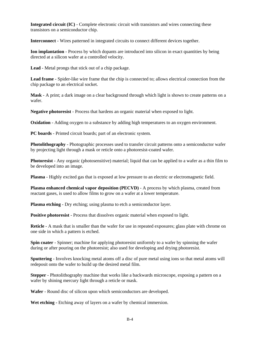**Integrated circuit (IC)** - Complete electronic circuit with transistors and wires connecting these transistors on a semiconductor chip.

**Interconnect** - Wires patterned in integrated circuits to connect different devices together.

**Ion implantation** - Process by which dopants are introduced into silicon in exact quantities by being directed at a silicon wafer at a controlled velocity.

**Lead** - Metal prongs that stick out of a chip package.

**Lead frame** - Spider-like wire frame that the chip is connected to; allows electrical connection from the chip package to an electrical socket.

**Mask** - A print; a dark image on a clear background through which light is shown to create patterns on a wafer.

**Negative photoresist** - Process that hardens an organic material when exposed to light.

**Oxidation** - Adding oxygen to a substance by adding high temperatures to an oxygen environment.

**PC boards** - Printed circuit boards; part of an electronic system.

**Photolithography** - Photographic processes used to transfer circuit patterns onto a semiconductor wafer by projecting light through a mask or reticle onto a photoresist-coated wafer.

**Photoresist** - Any organic (photosensitive) material; liquid that can be applied to a wafer as a thin film to be developed into an image.

**Plasma** - Highly excited gas that is exposed at low pressure to an electric or electromagnetic field.

**Plasma enhanced chemical vapor deposition (PECVD)** - A process by which plasma, created from reactant gases, is used to allow films to grow on a wafer at a lower temperature.

**Plasma etching -** Dry etching; using plasma to etch a semiconductor layer.

**Positive photoresist** - Process that dissolves organic material when exposed to light.

**Reticle** - A mask that is smaller than the wafer for use in repeated exposures; glass plate with chrome on one side in which a pattern is etched.

**Spin coater** - Spinner; machine for applying photoresist uniformly to a wafer by spinning the wafer during or after pouring on the photoresist; also used for developing and drying photoresist.

**Sputtering** - Involves knocking metal atoms off a disc of pure metal using ions so that metal atoms will redeposit onto the wafer to build up the desired metal film.

**Stepper** - Photolithography machine that works like a backwards microscope, exposing a pattern on a wafer by shining mercury light through a reticle or mask.

**Wafer** - Round disc of silicon upon which semiconductors are developed.

Wet etching - Etching away of layers on a wafer by chemical immersion.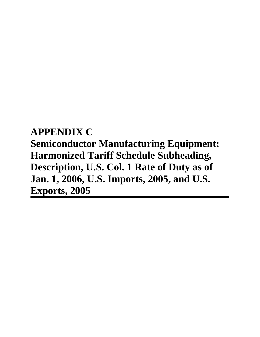**APPENDIX C Semiconductor Manufacturing Equipment: Harmonized Tariff Schedule Subheading, Description, U.S. Col. 1 Rate of Duty as of Jan. 1, 2006, U.S. Imports, 2005, and U.S. Exports, 2005**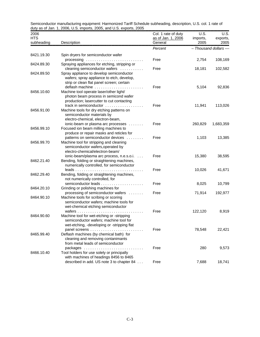| 2006                     | $\frac{1}{2}$ as or ban. 1, 2000, 0.0. imports, 2000, and 0.0. exports, 2000          | Col. 1 rate of duty           | <b>U.S.</b>      | U.S.                |
|--------------------------|---------------------------------------------------------------------------------------|-------------------------------|------------------|---------------------|
| <b>HTS</b><br>subheading | Description                                                                           | as of Jan. 1, 2006<br>General | imports,<br>2005 | exports,<br>2005    |
|                          |                                                                                       | Percent                       |                  | - Thousand dollars- |
| 8421.19.30               | Spin dryers for semiconductor wafer                                                   |                               |                  |                     |
|                          |                                                                                       | Free                          | 2,754            | 108,169             |
| 8424.89.30               | Spraying appliances for etching, stripping or                                         |                               |                  |                     |
|                          | cleaning semiconductor wafers                                                         | Free                          | 18,181           | 102,582             |
| 8424.89.50               | Spray appliance to develop semiconductor<br>wafers; spray appliance to etch, develop, |                               |                  |                     |
|                          | strip or clean flat panel screen; certain                                             |                               |                  |                     |
|                          | deflash machine                                                                       | Free                          | 5,104            | 92,836              |
| 8456.10.60               | Machine tool operate laser/other light/                                               |                               |                  |                     |
|                          | photon beam process in semicond wafer                                                 |                               |                  |                     |
|                          | production; lasercutter to cut contacting                                             |                               |                  |                     |
|                          | track in semiconductor                                                                | Free                          | 11,941           | 113,026             |
| 8456.91.00               | Machine tools for dry etching patterns on<br>semiconductor materials by               |                               |                  |                     |
|                          | electro-chemical, electron-beam,                                                      |                               |                  |                     |
|                          | ionic-beam or plasma arc processes                                                    | Free                          | 260,829          | 1,683,359           |
| 8456.99.10               | Focused ion beam milling machines to                                                  |                               |                  |                     |
|                          | produce or repair masks and reticles for                                              |                               |                  |                     |
|                          | patterns on semiconductor devices                                                     | Free                          | 1,103            | 13,385              |
| 8456.99.70               | Machine tool for stripping and cleaning<br>semiconductor wafers, operated by          |                               |                  |                     |
|                          | electro-chemical/electron-beam/                                                       |                               |                  |                     |
|                          | ionic-beam/plasma arc process, n.e.s.o.i.                                             | Free                          | 15,380           | 38,595              |
| 8462.21.40               | Bending, folding or straightening machines,                                           |                               |                  |                     |
|                          | numerically controlled, for semiconductor                                             |                               |                  |                     |
|                          | $leads \dots \dots \dots \dots \dots \dots$                                           | Free                          | 10,026           | 41,671              |
| 8462.29.40               | Bending, folding or straightening machines,                                           |                               |                  |                     |
|                          | not numerically controlled, for                                                       | Free                          | 8,025            | 10,799              |
| 8464.20.10               | Grinding or polishing machines for                                                    |                               |                  |                     |
|                          | processing of semiconductor wafers                                                    | Free                          | 71,914           | 192,977             |
| 8464.90.10               | Machine tools for scribing or scoring                                                 |                               |                  |                     |
|                          | semiconductor wafers; machine tools for                                               |                               |                  |                     |
|                          | wet-chemical etching semiconductor                                                    |                               |                  |                     |
|                          |                                                                                       | Free                          | 122,120          | 8,919               |
| 8464.90.60               | Machine tool for wet-etching or -stripping<br>semiconductor wafers; machine tool for  |                               |                  |                     |
|                          | wet-etching, -developing or -stripping flat                                           |                               |                  |                     |
|                          |                                                                                       | Free                          | 78,548           | 22,421              |
| 8465.99.40               | Deflash machines (by chemical bath) for                                               |                               |                  |                     |
|                          | cleaning and removing contanimants                                                    |                               |                  |                     |
|                          | from metal leads of semiconductor                                                     |                               |                  |                     |
|                          | packages<br>1.1.1.1.1                                                                 | Free                          | 280              | 9,573               |
| 8466.10.40               | Tool holders for use solely or principally<br>with machines of headings 8456 to 8465  |                               |                  |                     |
|                          | described in add. US note 3 to chapter 84                                             | Free                          | 7,688            | 18,741              |
|                          |                                                                                       |                               |                  |                     |

Semiconductor manufacturing equipment: Harmonized Tariff Schedule subheading, description, U.S. col. 1 rate of duty as of Jan. 1, 2006, U.S. imports, 2005, and U.S. exports, 2005 ,,,,,,,,,,,,,,,,,,,,,,,,,,,,,,,,,,,,,,,,,,,,,,,,,,,,,,,,,,,,,,,,,,,,,,,,,,,,,,,,,,,,,,,,,,,,,,,,,,,,,,,,,,,,,,,,,,,,,,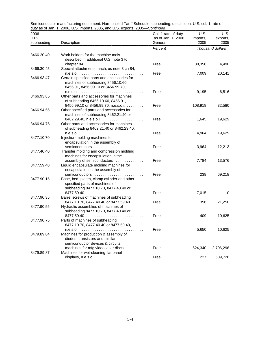| 2006                     | $\frac{1}{2}$ and $\frac{1}{2}$ and $\frac{1}{2}$ and $\frac{1}{2}$ and $\frac{1}{2}$ and $\frac{1}{2}$ .                                    | Col. 1 rate of duty           | U.S.             | U.S.             |
|--------------------------|----------------------------------------------------------------------------------------------------------------------------------------------|-------------------------------|------------------|------------------|
| <b>HTS</b><br>subheading | Description                                                                                                                                  | as of Jan. 1, 2006<br>General | imports,<br>2005 | exports,<br>2005 |
|                          |                                                                                                                                              | Percent                       |                  | Thousand dollars |
| 8466.20.40               | Work holders for the machine tools<br>described in additional U.S. note 3 to                                                                 | Free                          | 30,358           | 4,490            |
| 8466.30.45               | Special attachments mach, us note 3 ch 84,                                                                                                   | Free                          | 7,009            | 20,141           |
| 8466.93.47               | Certain specified parts and accessories for<br>machines of subheading 8456.10.60,<br>8456.91, 8456.99.10 or 8456.99.70,                      |                               |                  |                  |
| 8466.93.85               | Other parts and accessories for machines<br>of subheading 8456.10.60, 8456.91,                                                               | Free                          | 9,195            | 6,516            |
| 8466.94.55               | 8456.99.10 or 8456.99.70, n.e.s.o.i.<br>Other specified parts and accessories for<br>machines of subheading 8462.21.40 or                    | Free                          | 108,918          | 32,580           |
| 8466.94.75               | Other parts and accessories for machines<br>of subheading 8462.21.40 or 8462.29.40,                                                          | Free                          | 1,645            | 19,629           |
| 8477.10.70               | Injection-molding machines for                                                                                                               | Free                          | 4,964            | 19,629           |
|                          | encapsulation in the assembly of<br>semiconductors                                                                                           | Free                          | 3,964            | 12,213           |
| 8477.40.40               | Transfer molding and compression molding<br>machines for encapsulation in the                                                                | Free                          |                  |                  |
| 8477.59.40               | assembly of semiconductors<br>Liquid encapsulate molding machines for<br>encapsulation in the assembly of                                    |                               | 7,784            | 13,576           |
| 8477.90.15               | semiconductors<br>.<br>Base, bed, platen, clamp cylinder and other<br>specified parts of machines of<br>subheading 8477.10.70, 8477.40.40 or | Free                          | 238              | 69,218           |
| 8477.90.35               | Barrel screws of machines of subheading                                                                                                      | Free                          | 7,015            | 0                |
| 8477.90.55               | 8477.10.70, 8477.40.40 or 8477.59.40<br>Hydraulic assemblies of machines of<br>subheading 8477.10.70, 8477.40.40 or                          | Free                          | 356              | 21,250           |
| 8477.90.75               | Parts of machines of subheading<br>8477.10.70, 8477.40.40 or 8477.59.40,                                                                     | Free                          | 409              | 10,625           |
| 8479.89.84               | Machines for production & assembly of<br>diodes, transistors and similar<br>semiconductor devices & circuits;                                | Free                          | 5,650            | 10,625           |
| 8479.89.87               | machines for mfg video laser discs<br>Machines for wet-cleaning flat panel                                                                   | Free                          | 624,340          | 2,706,296        |
|                          |                                                                                                                                              | Free                          | 227              | 609,728          |

Semiconductor manufacturing equipment: Harmonized Tariff Schedule subheading, description, U.S. col. 1 rate of duty as of Jan. 1, 2006, U.S. imports, 2005, and U.S. exports, 2005—*Continued* ,,,,,,,,,,,,,,,,,,,,,,,,,,,,,,,,,,,,,,,,,,,,,,,,,,,,,,,,,,,,,,,,,,,,,,,,,,,,,,,,,,,,,,,,,,,,,,,,,,,,,,,,,,,,,,,,,,,,,,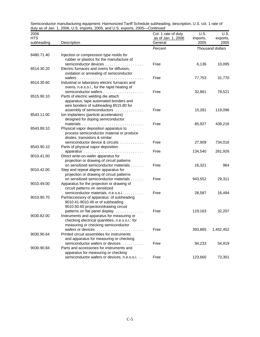| 2006<br><b>HTS</b><br>subheading | Description                                                                       | Col. 1 rate of duty<br>as of Jan. 1, 2006<br>General | U.S.<br>imports,<br>2005 | U.S.<br>exports,<br>2005 |
|----------------------------------|-----------------------------------------------------------------------------------|------------------------------------------------------|--------------------------|--------------------------|
|                                  |                                                                                   | Percent                                              |                          | Thousand dollars         |
| 8480.71.40                       | Injection or compression type molds for                                           |                                                      |                          |                          |
|                                  | rubber or plastics for the manufacture of                                         |                                                      |                          |                          |
| 8514.30.20                       | semiconductor devices<br>Electric furnaces and ovens for diffusion,               | Free                                                 | 6,136                    | 10,095                   |
|                                  | oxidation or annealing of semiconductor                                           |                                                      |                          |                          |
|                                  |                                                                                   | Free                                                 | 77,753                   | 31,770                   |
| 8514.30.60                       | Industrial or laboratory electric furnaces and                                    |                                                      |                          |                          |
|                                  | ovens, n.e.s.o.i., for the rapid heating of                                       |                                                      |                          |                          |
|                                  |                                                                                   | Free                                                 | 32,861                   | 78,521                   |
| 8515.90.10                       | Parts of electric welding die attach                                              |                                                      |                          |                          |
|                                  | apparatus, tape automated bonders and<br>wire bonders of subheading 8515.80 for   |                                                      |                          |                          |
|                                  | assembly of semiconductors                                                        | Free                                                 | 15,281                   | 119,096                  |
| 8543.11.00                       | Ion implanters (particle accelerators)                                            |                                                      |                          |                          |
|                                  | designed for doping semiconductor                                                 |                                                      |                          |                          |
|                                  |                                                                                   | Free                                                 | 85,927                   | 439,216                  |
| 8543.89.10                       | Physical vapor deposition apparatus to                                            |                                                      |                          |                          |
|                                  | process semiconductor material or produce                                         |                                                      |                          |                          |
|                                  | diodes, transistors & similar                                                     |                                                      |                          |                          |
|                                  | semiconductor device & circuits                                                   | Free                                                 | 27,909                   | 734,016                  |
| 8543.90.10                       | Parts of physical vapor deposition<br>apparatus                                   | Free                                                 | 134,540                  | 261,926                  |
| 9010.41.00                       | .<br>Direct write-on-wafer apparatus for                                          |                                                      |                          |                          |
|                                  | projection or drawing of circuit patterns                                         |                                                      |                          |                          |
|                                  | on sensitized semiconductor materials                                             | Free                                                 | 16,321                   | 964                      |
| 9010.42.00                       | Step and repeat aligner apparatus for                                             |                                                      |                          |                          |
|                                  | projection or drawing of circuit patterns                                         |                                                      |                          |                          |
|                                  | on sensitized semiconductor materials                                             | Free                                                 | 943,552                  | 29,311                   |
| 9010.49.00                       | Apparatus for the projection or drawing of                                        |                                                      |                          |                          |
|                                  | circuit patterns on sensitized                                                    |                                                      |                          |                          |
| 9010.90.70                       | semiconductor materials, n.e.s.o.i.<br>Part/accessory of apparatus: of subheading | Free                                                 | 28,587                   | 16,494                   |
|                                  | 9010.41-9010.49 or of subheading                                                  |                                                      |                          |                          |
|                                  | 9010.50.60 projection/drawing circuit                                             |                                                      |                          |                          |
|                                  | patterns on flat panel display                                                    | Free                                                 | 119,163                  | 32,207                   |
| 9030.82.00                       | Instruments and apparatus for measuring or                                        |                                                      |                          |                          |
|                                  | checking electrical quantities, n.e.s.o.i.: for                                   |                                                      |                          |                          |
|                                  | measuring or checking semiconductor                                               |                                                      |                          |                          |
|                                  | wafers or devices                                                                 | Free                                                 | 393,865                  | 1,452,452                |
| 9030.90.64                       | Printed circuit assemblies for instruments                                        |                                                      |                          |                          |
|                                  | and apparatus for measuring or checking<br>semiconductor wafers or devices        | Free                                                 |                          |                          |
| 9030.90.84                       | Parts and accessories for instruments and                                         |                                                      | 94,233                   | 54,919                   |
|                                  | apparatus for measuring or checking                                               |                                                      |                          |                          |
|                                  | semiconductor wafers or devices, n.e.s.o.i.                                       | Free                                                 | 123,660                  | 73,301                   |
|                                  |                                                                                   |                                                      |                          |                          |

Semiconductor manufacturing equipment: Harmonized Tariff Schedule subheading, description, U.S. col. 1 rate of